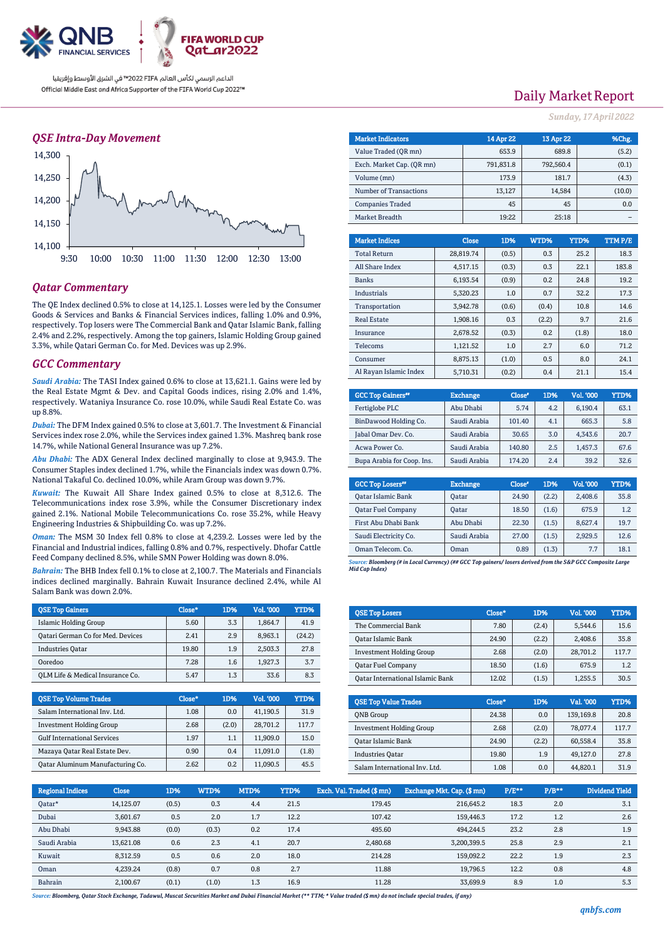

### *QSE Intra-Day Movement*



## *Qatar Commentary*

The QE Index declined 0.5% to close at 14,125.1. Losses were led by the Consumer Goods & Services and Banks & Financial Services indices, falling 1.0% and 0.9%, respectively. Top losers were The Commercial Bank and Qatar Islamic Bank, falling 2.4% and 2.2%, respectively. Among the top gainers, Islamic Holding Group gained 3.3%, while Qatari German Co. for Med. Devices was up 2.9%.

### *GCC Commentary*

*Saudi Arabia:* The TASI Index gained 0.6% to close at 13,621.1. Gains were led by the Real Estate Mgmt & Dev. and Capital Goods indices, rising 2.0% and 1.4%, respectively. Wataniya Insurance Co. rose 10.0%, while Saudi Real Estate Co. was up 8.8%.

*Dubai:* The DFM Index gained 0.5% to close at 3,601.7. The Investment & Financial Services index rose 2.0%, while the Services index gained 1.3%. Mashreq bank rose 14.7%, while National General Insurance was up 7.2%.

*Abu Dhabi:* The ADX General Index declined marginally to close at 9,943.9. The Consumer Staples index declined 1.7%, while the Financials index was down 0.7%. National Takaful Co. declined 10.0%, while Aram Group was down 9.7%.

*Kuwait:* The Kuwait All Share Index gained 0.5% to close at 8,312.6. The Telecommunications index rose 3.9%, while the Consumer Discretionary index gained 2.1%. National Mobile Telecommunications Co. rose 35.2%, while Heavy Engineering Industries & Shipbuilding Co. was up 7.2%.

*Oman:* The MSM 30 Index fell 0.8% to close at 4,239.2. Losses were led by the Financial and Industrial indices, falling 0.8% and 0.7%, respectively. Dhofar Cattle Feed Company declined 8.5%, while SMN Power Holding was down 8.0%.

*Bahrain:* The BHB Index fell 0.1% to close at 2,100.7. The Materials and Financials indices declined marginally. Bahrain Kuwait Insurance declined 2.4%, while Al Salam Bank was down 2.0%.

| <b>OSE Top Gainers</b>            | Close* | 1D% | <b>Vol. '000</b> | YTD%   |
|-----------------------------------|--------|-----|------------------|--------|
| Islamic Holding Group             | 5.60   | 3.3 | 1.864.7          | 41.9   |
| Qatari German Co for Med. Devices | 2.41   | 2.9 | 8.963.1          | (24.2) |
| <b>Industries Oatar</b>           | 19.80  | 1.9 | 2,503.3          | 27.8   |
| Ooredoo                           | 7.28   | 1.6 | 1.927.3          | 3.7    |
| OLM Life & Medical Insurance Co.  | 5.47   | 1.3 | 33.6             | 8.3    |

| <b>OSE Top Volume Trades</b>       | Close* | 1D%   | Vol. '000 | YTD%  |
|------------------------------------|--------|-------|-----------|-------|
| Salam International Inv. Ltd.      | 1.08   | 0.0   | 41,190.5  | 31.9  |
| <b>Investment Holding Group</b>    | 2.68   | (2.0) | 28,701.2  | 117.7 |
| <b>Gulf International Services</b> | 1.97   | 1.1   | 11,909.0  | 15.0  |
| Mazaya Qatar Real Estate Dev.      | 0.90   | 0.4   | 11,091.0  | (1.8) |
| Oatar Aluminum Manufacturing Co.   | 2.62   | 0.2   | 11,090.5  | 45.5  |

Daily Market Report

*Sunday, 17April 2022*

| <b>Market Indicators</b>  | 14 Apr 22 | 13 Apr 22 | %Chg., |
|---------------------------|-----------|-----------|--------|
| Value Traded (OR mn)      | 653.9     | 689.8     | (5.2)  |
| Exch. Market Cap. (OR mn) | 791,831.8 | 792.560.4 | (0.1)  |
| Volume (mn)               | 173.9     | 181.7     | (4.3)  |
| Number of Transactions    | 13,127    | 14,584    | (10.0) |
| <b>Companies Traded</b>   | 45        | 45        | 0.0    |
| Market Breadth            | 19:22     | 25:18     |        |
|                           |           |           |        |

| <b>Market Indices</b>  | <b>Close</b> | 1D%   | WTD%  | YTD%  | TTM P/E |
|------------------------|--------------|-------|-------|-------|---------|
| <b>Total Return</b>    | 28,819.74    | (0.5) | 0.3   | 25.2  | 18.3    |
| All Share Index        | 4.517.15     | (0.3) | 0.3   | 22.1  | 183.8   |
| <b>Banks</b>           | 6.193.54     | (0.9) | 0.2   | 24.8  | 19.2    |
| Industrials            | 5.320.23     | 1.0   | 0.7   | 32.2  | 17.3    |
| Transportation         | 3.942.78     | (0.6) | (0.4) | 10.8  | 14.6    |
| <b>Real Estate</b>     | 1,908.16     | 0.3   | (2.2) | 9.7   | 21.6    |
| Insurance              | 2.678.52     | (0.3) | 0.2   | (1.8) | 18.0    |
| Telecoms               | 1,121.52     | 1.0   | 2.7   | 6.0   | 71.2    |
| Consumer               | 8.875.13     | (1.0) | 0.5   | 8.0   | 24.1    |
| Al Rayan Islamic Index | 5.710.31     | (0.2) | 0.4   | 21.1  | 15.4    |

| <b>GCC Top Gainers</b> "   | <b>Exchange</b> | Close* | 1D% | Vol. '000 | YTD% |
|----------------------------|-----------------|--------|-----|-----------|------|
| Fertiglobe PLC             | Abu Dhabi       | 5.74   | 4.2 | 6,190.4   | 63.1 |
| BinDawood Holding Co.      | Saudi Arabia    | 101.40 | 4.1 | 665.3     | 5.8  |
| Jabal Omar Dev. Co.        | Saudi Arabia    | 30.65  | 3.0 | 4.343.6   | 20.7 |
| Acwa Power Co.             | Saudi Arabia    | 140.80 | 2.5 | 1,457.3   | 67.6 |
| Bupa Arabia for Coop. Ins. | Saudi Arabia    | 174.20 | 2.4 | 39.2      | 32.6 |

| <b>GCC Top Losers</b> "   | <b>Exchange</b> | Close <sup>®</sup> | 1D%   | Vol. '000 | YTD% |
|---------------------------|-----------------|--------------------|-------|-----------|------|
| <b>Qatar Islamic Bank</b> | Oatar           | 24.90              | (2.2) | 2,408.6   | 35.8 |
| <b>Oatar Fuel Company</b> | Oatar           | 18.50              | (1.6) | 675.9     | 1.2  |
| First Abu Dhabi Bank      | Abu Dhabi       | 22.30              | (1.5) | 8,627.4   | 19.7 |
| Saudi Electricity Co.     | Saudi Arabia    | 27.00              | (1.5) | 2,929.5   | 12.6 |
| Oman Telecom, Co.         | Oman            | 0.89               | (1.3) | 7.7       | 18.1 |

*Source: Bloomberg (# in Local Currency) (## GCC Top gainers/ losers derived from the S&P GCC Composite Large Mid Cap Index)*

| <b>QSE Top Losers</b>            | Close* | 1D%   | <b>Vol. '000</b> | YTD%  |
|----------------------------------|--------|-------|------------------|-------|
| The Commercial Bank              | 7.80   | (2.4) | 5.544.6          | 15.6  |
| Oatar Islamic Bank               | 24.90  | (2.2) | 2.408.6          | 35.8  |
| <b>Investment Holding Group</b>  | 2.68   | (2.0) | 28.701.2         | 117.7 |
| <b>Oatar Fuel Company</b>        | 18.50  | (1.6) | 675.9            | 1.2   |
| Oatar International Islamic Bank | 12.02  | (1.5) | 1.255.5          | 30.5  |

| <b>OSE Top Value Trades</b>     | Close* | 1D%   | Val. '000 | YTD%  |
|---------------------------------|--------|-------|-----------|-------|
| <b>ONB</b> Group                | 24.38  | 0.0   | 139,169.8 | 20.8  |
| <b>Investment Holding Group</b> | 2.68   | (2.0) | 78,077.4  | 117.7 |
| Oatar Islamic Bank              | 24.90  | (2.2) | 60.558.4  | 35.8  |
| <b>Industries Oatar</b>         | 19.80  | 1.9   | 49.127.0  | 27.8  |
| Salam International Inv. Ltd.   | 1.08   | 0.0   | 44.820.1  | 31.9  |

| <b>Regional Indices</b> | <b>Close</b> | 1D%   | WTD%  | MTD% | YTD% | Exch. Val. Traded (\$ mn) | Exchange Mkt. Cap. (\$mn) | $P/E***$ | $P/B**$ | <b>Dividend Yield</b> |
|-------------------------|--------------|-------|-------|------|------|---------------------------|---------------------------|----------|---------|-----------------------|
| Qatar*                  | 14.125.07    | (0.5) | 0.3   | 4.4  | 21.5 | 179.45                    | 216,645.2                 | 18.3     | 2.0     | 3.1                   |
| Dubai                   | 3.601.67     | 0.5   | 2.0   | 1.7  | 12.2 | 107.42                    | 159,446.3                 | 17.2     | 1.2     | 2.6                   |
| Abu Dhabi               | 9,943.88     | (0.0) | (0.3) | 0.2  | 17.4 | 495.60                    | 494,244.5                 | 23.2     | 2.8     | 1.9                   |
| Saudi Arabia            | 13.621.08    | 0.6   | 2.3   | 4.1  | 20.7 | 2,480.68                  | 3,200,399.5               | 25.8     | 2.9     | 2.1                   |
| Kuwait                  | 8.312.59     | 0.5   | 0.6   | 2.0  | 18.0 | 214.28                    | 159.092.2                 | 22.2     | 1.9     | 2.3                   |
| Oman                    | 4.239.24     | (0.8) | 0.7   | 0.8  | 2.7  | 11.88                     | 19.796.5                  | 12.2     | 0.8     | 4.8                   |
| Bahrain                 | 2.100.67     | (0.1) | (1.0) | 1.3  | 16.9 | 11.28                     | 33.699.9                  | 8.9      | 1.0     | 5.3                   |

*Source: Bloomberg, Qatar Stock Exchange, Tadawul, Muscat Securities Market and Dubai Financial Market (\*\* TTM; \* Value traded (\$ mn) do not include special trades, if any)*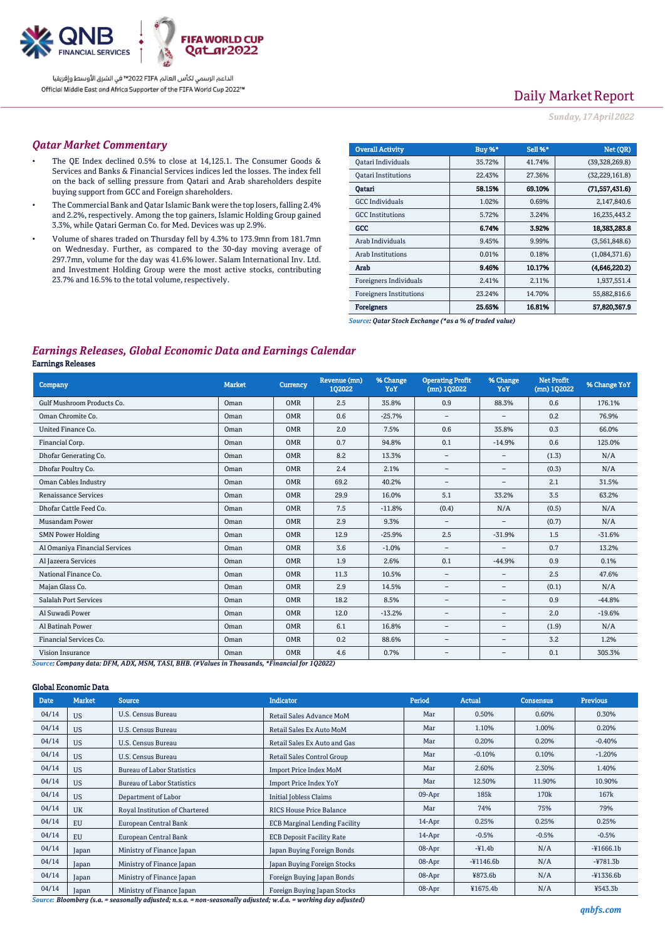

# Daily Market Report

*Sunday, 17April 2022*

## *Qatar Market Commentary*

- The QE Index declined 0.5% to close at 14,125.1. The Consumer Goods & Services and Banks & Financial Services indices led the losses. The index fell on the back of selling pressure from Qatari and Arab shareholders despite buying support from GCC and Foreign shareholders.
- The Commercial Bank and Qatar Islamic Bank were the top losers, falling 2.4% and 2.2%, respectively. Among the top gainers, Islamic Holding Group gained 3.3%, while Qatari German Co. for Med. Devices was up 2.9%.
- Volume of shares traded on Thursday fell by 4.3% to 173.9mn from 181.7mn on Wednesday. Further, as compared to the 30-day moving average of 297.7mn, volume for the day was 41.6% lower. Salam International Inv. Ltd. and Investment Holding Group were the most active stocks, contributing 23.7% and 16.5% to the total volume, respectively.

| <b>Overall Activity</b>        | <b>Buy %*</b> | Sell %* | Net (QR)         |
|--------------------------------|---------------|---------|------------------|
| Qatari Individuals             | 35.72%        | 41.74%  | (39,328,269.8)   |
| <b>Oatari Institutions</b>     | 22.43%        | 27.36%  | (32, 229, 161.8) |
| Oatari                         | 58.15%        | 69.10%  | (71,557,431.6)   |
| <b>GCC</b> Individuals         | 1.02%         | 0.69%   | 2,147,840.6      |
| <b>GCC</b> Institutions        | 5.72%         | 3.24%   | 16,235,443.2     |
| GCC                            | 6.74%         | 3.92%   | 18.383.283.8     |
| Arab Individuals               | 9.45%         | 9.99%   | (3,561,848.6)    |
| <b>Arab Institutions</b>       | 0.01%         | 0.18%   | (1,084,371.6)    |
| Arab                           | 9.46%         | 10.17%  | (4,646,220.2)    |
| Foreigners Individuals         | 2.41%         | 2.11%   | 1,937,551.4      |
| <b>Foreigners Institutions</b> | 23.24%        | 14.70%  | 55,882,816.6     |
| Foreigners                     | 25.65%        | 16.81%  | 57.820,367.9     |

*Source: Qatar Stock Exchange (\*as a % of traded value)*

# *Earnings Releases, Global Economic Data and Earnings Calendar*

### Earnings Releases

| <b>Company</b>                                                                                                 | <b>Market</b> | <b>Currency</b> | Revenue (mn)<br>1Q2022 | % Change<br>YoY | <b>Operating Profit</b><br>(mn) 1Q2022 | % Change<br>YoY          | <b>Net Profit</b><br>(mn) 1Q2022 | % Change YoY |
|----------------------------------------------------------------------------------------------------------------|---------------|-----------------|------------------------|-----------------|----------------------------------------|--------------------------|----------------------------------|--------------|
| Gulf Mushroom Products Co.                                                                                     | Oman          | <b>OMR</b>      | 2.5                    | 35.8%           | 0.9                                    | 88.3%                    | 0.6                              | 176.1%       |
| Oman Chromite Co.                                                                                              | Oman          | <b>OMR</b>      | 0.6                    | $-25.7%$        | $\qquad \qquad -$                      | -                        | 0.2                              | 76.9%        |
| United Finance Co.                                                                                             | Oman          | OMR             | 2.0                    | 7.5%            | 0.6                                    | 35.8%                    | 0.3                              | 66.0%        |
| Financial Corp.                                                                                                | Oman          | OMR             | 0.7                    | 94.8%           | 0.1                                    | $-14.9%$                 | 0.6                              | 125.0%       |
| Dhofar Generating Co.                                                                                          | Oman          | <b>OMR</b>      | 8.2                    | 13.3%           | $\overline{\phantom{a}}$               | $\qquad \qquad =$        | (1.3)                            | N/A          |
| Dhofar Poultry Co.                                                                                             | Oman          | <b>OMR</b>      | 2.4                    | 2.1%            | $\qquad \qquad -$                      | $\qquad \qquad -$        | (0.3)                            | N/A          |
| <b>Oman Cables Industry</b>                                                                                    | Oman          | <b>OMR</b>      | 69.2                   | 40.2%           | $\overline{\phantom{0}}$               | $\overline{\phantom{m}}$ | 2.1                              | 31.5%        |
| Renaissance Services                                                                                           | Oman          | <b>OMR</b>      | 29.9                   | 16.0%           | 5.1                                    | 33.2%                    | 3.5                              | 63.2%        |
| Dhofar Cattle Feed Co.                                                                                         | Oman          | <b>OMR</b>      | 7.5                    | $-11.8%$        | (0.4)                                  | N/A                      | (0.5)                            | N/A          |
| <b>Musandam Power</b>                                                                                          | Oman          | <b>OMR</b>      | 2.9                    | 9.3%            | $\overline{\phantom{0}}$               | $\overline{\phantom{0}}$ | (0.7)                            | N/A          |
| <b>SMN Power Holding</b>                                                                                       | Oman          | OMR             | 12.9                   | $-25.9%$        | 2.5                                    | $-31.9%$                 | 1.5                              | $-31.6%$     |
| Al Omaniya Financial Services                                                                                  | Oman          | <b>OMR</b>      | 3.6                    | $-1.0%$         | $-$                                    | -                        | 0.7                              | 13.2%        |
| Al Jazeera Services                                                                                            | Oman          | <b>OMR</b>      | 1.9                    | 2.6%            | 0.1                                    | $-44.9%$                 | 0.9                              | 0.1%         |
| National Finance Co.                                                                                           | Oman          | <b>OMR</b>      | 11.3                   | 10.5%           | $\overline{\phantom{0}}$               | $\overline{\phantom{m}}$ | 2.5                              | 47.6%        |
| Majan Glass Co.                                                                                                | Oman          | <b>OMR</b>      | 2.9                    | 14.5%           | $\qquad \qquad -$                      | $\qquad \qquad =$        | (0.1)                            | N/A          |
| Salalah Port Services                                                                                          | Oman          | <b>OMR</b>      | 18.2                   | 8.5%            | $\qquad \qquad -$                      | $\qquad \qquad -$        | 0.9                              | $-44.8%$     |
| Al Suwadi Power                                                                                                | Oman          | <b>OMR</b>      | 12.0                   | $-13.2%$        | $\overline{\phantom{0}}$               | $\overline{\phantom{m}}$ | 2.0                              | $-19.6%$     |
| Al Batinah Power                                                                                               | Oman          | <b>OMR</b>      | 6.1                    | 16.8%           | $\qquad \qquad -$                      | $\overline{\phantom{m}}$ | (1.9)                            | N/A          |
| Financial Services Co.                                                                                         | Oman          | <b>OMR</b>      | 0.2                    | 88.6%           | $\overline{\phantom{a}}$               | $\overline{\phantom{m}}$ | 3.2                              | 1.2%         |
| Vision Insurance<br>concer Company John DEM, ADV, MCM, TACL DID, MILling in Thomas Jo, #Financial for 1.09099) | Oman          | <b>OMR</b>      | 4.6                    | 0.7%            | $\qquad \qquad -$                      | -                        | 0.1                              | 305.3%       |

*Source: Company data: DFM, ADX, MSM, TASI, BHB. (#Values in Thousands, \*Financial for 1Q2022)*

#### Global Economic Data

| <b>Date</b> | <b>Market</b> | <b>Source</b>                     | <b>Indicator</b>                     | Period    | <b>Actual</b> | Consensus        | <b>Previous</b> |
|-------------|---------------|-----------------------------------|--------------------------------------|-----------|---------------|------------------|-----------------|
| 04/14       | <b>US</b>     | U.S. Census Bureau                | Retail Sales Advance MoM             | Mar       | 0.50%         | 0.60%            | 0.30%           |
| 04/14       | <b>US</b>     | U.S. Census Bureau                | Retail Sales Ex Auto MoM             | Mar       | 1.10%         | 1.00%            | 0.20%           |
| 04/14       | <b>US</b>     | <b>U.S. Census Bureau</b>         | Retail Sales Ex Auto and Gas         | Mar       | 0.20%         | 0.20%            | $-0.40%$        |
| 04/14       | <b>US</b>     | U.S. Census Bureau                | Retail Sales Control Group           | Mar       | $-0.10%$      | 0.10%            | $-1.20%$        |
| 04/14       | <b>US</b>     | <b>Bureau of Labor Statistics</b> | <b>Import Price Index MoM</b>        | Mar       | 2.60%         | 2.30%            | 1.40%           |
| 04/14       | <b>US</b>     | <b>Bureau of Labor Statistics</b> | <b>Import Price Index YoY</b>        | Mar       | 12.50%        | 11.90%           | 10.90%          |
| 04/14       | <b>US</b>     | Department of Labor               | <b>Initial Jobless Claims</b>        | $09-Apr$  | 185k          | 170 <sub>k</sub> | 167k            |
| 04/14       | <b>UK</b>     | Royal Institution of Chartered    | <b>RICS House Price Balance</b>      | Mar       | 74%           | 75%              | 79%             |
| 04/14       | <b>EU</b>     | European Central Bank             | <b>ECB Marginal Lending Facility</b> | $14$ -Apr | 0.25%         | 0.25%            | 0.25%           |
| 04/14       | <b>EU</b>     | European Central Bank             | <b>ECB Deposit Facility Rate</b>     | $14$ -Apr | $-0.5%$       | $-0.5%$          | $-0.5%$         |
| 04/14       | Japan         | Ministry of Finance Japan         | Japan Buying Foreign Bonds           | 08-Apr    | $-41.4b$      | N/A              | $-41666.1b$     |
| 04/14       | Japan         | Ministry of Finance Japan         | Japan Buying Foreign Stocks          | 08-Apr    | $-41146.6b$   | N/A              | $-4781.3b$      |
| 04/14       | Japan         | Ministry of Finance Japan         | Foreign Buying Japan Bonds           | 08-Apr    | ¥873.6b       | N/A              | $-41336.6b$     |
| 04/14       | Japan         | Ministry of Finance Japan         | Foreign Buying Japan Stocks          | 08-Apr    | ¥1675.4b      | N/A              | ¥543.3b         |

*Source: Bloomberg (s.a. = seasonally adjusted; n.s.a. = non-seasonally adjusted; w.d.a. = working day adjusted)*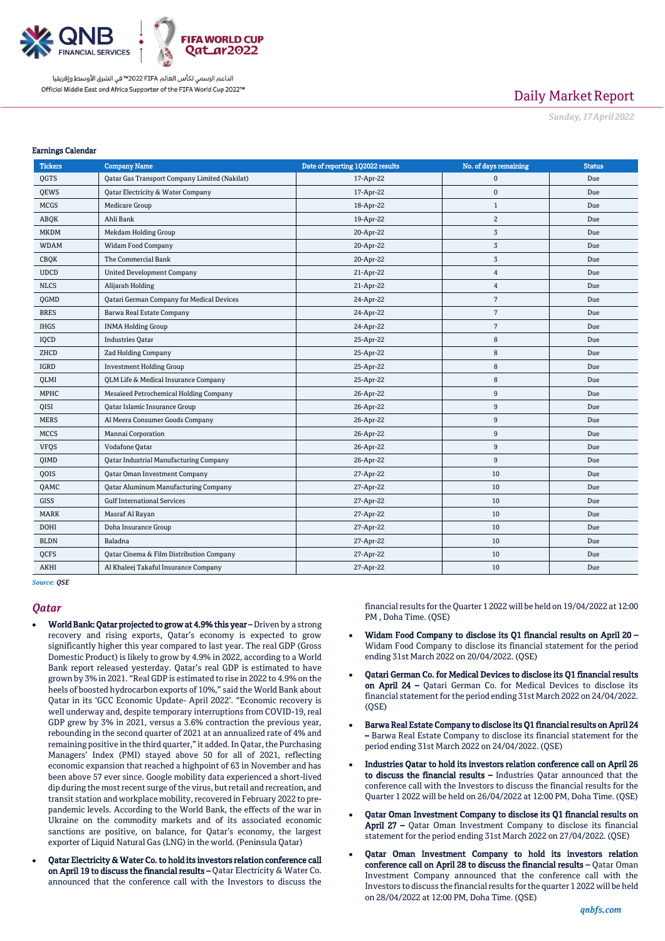

# Daily Market Report

*Sunday, 17April 2022*

#### Earnings Calendar

| <b>Tickers</b> | <b>Company Name</b>                           | Date of reporting 1Q2022 results | No. of days remaining | <b>Status</b> |
|----------------|-----------------------------------------------|----------------------------------|-----------------------|---------------|
| QGTS           | Qatar Gas Transport Company Limited (Nakilat) | 17-Apr-22                        | $\mathbf 0$           | Due           |
| QEWS           | Qatar Electricity & Water Company             | 17-Apr-22                        | $\mathbf 0$           | Due           |
| <b>MCGS</b>    | Medicare Group                                | 18-Apr-22                        | $\mathbf{1}$          | Due           |
| ABQK           | Ahli Bank                                     | 19-Apr-22                        | $\mathbf{2}$          | Due           |
| <b>MKDM</b>    | Mekdam Holding Group                          | 20-Apr-22                        | 3                     | Due           |
| <b>WDAM</b>    | Widam Food Company                            | 20-Apr-22                        | 3                     | Due           |
| <b>CBQK</b>    | The Commercial Bank                           | 20-Apr-22                        | $\sqrt{3}$            | Due           |
| <b>UDCD</b>    | <b>United Development Company</b>             | 21-Apr-22                        | $\overline{4}$        | Due           |
| <b>NLCS</b>    | Alijarah Holding                              | 21-Apr-22                        | $\overline{4}$        | Due           |
| QGMD           | Qatari German Company for Medical Devices     | 24-Apr-22                        | $\overline{7}$        | Due           |
| <b>BRES</b>    | Barwa Real Estate Company                     | 24-Apr-22                        | $7\overline{ }$       | Due           |
| <b>IHGS</b>    | <b>INMA Holding Group</b>                     | 24-Apr-22                        | $7\overline{ }$       | Due           |
| IQCD           | <b>Industries Qatar</b>                       | 25-Apr-22                        | $\,8\,$               | Due           |
| ZHCD           | <b>Zad Holding Company</b>                    | 25-Apr-22                        | 8                     | Due           |
| <b>IGRD</b>    | <b>Investment Holding Group</b>               | 25-Apr-22                        | 8                     | Due           |
| QLMI           | QLM Life & Medical Insurance Company          | 25-Apr-22                        | 8                     | Due           |
| <b>MPHC</b>    | Mesaieed Petrochemical Holding Company        | 26-Apr-22                        | $9\,$                 | Due           |
| QISI           | Qatar Islamic Insurance Group                 | 26-Apr-22                        | 9                     | Due           |
| <b>MERS</b>    | Al Meera Consumer Goods Company               | 26-Apr-22                        | 9                     | Due           |
| <b>MCCS</b>    | Mannai Corporation                            | 26-Apr-22                        | $\boldsymbol{9}$      | Due           |
| <b>VFQS</b>    | Vodafone Qatar                                | 26-Apr-22                        | $9\,$                 | Due           |
| QIMD           | Qatar Industrial Manufacturing Company        | 26-Apr-22                        | $9\,$                 | Due           |
| QOIS           | Qatar Oman Investment Company                 | 27-Apr-22                        | 10                    | Due           |
| QAMC           | <b>Qatar Aluminum Manufacturing Company</b>   | 27-Apr-22                        | 10                    | Due           |
| <b>GISS</b>    | <b>Gulf International Services</b>            | 27-Apr-22                        | 10                    | Due           |
| <b>MARK</b>    | Masraf Al Rayan                               | 27-Apr-22                        | 10                    | Due           |
| <b>DOHI</b>    | Doha Insurance Group                          | 27-Apr-22                        | 10                    | Due           |
| <b>BLDN</b>    | Baladna                                       | 27-Apr-22                        | 10                    | Due           |
| QCFS           | Qatar Cinema & Film Distribution Company      | 27-Apr-22                        | 10                    | Due           |
| <b>AKHI</b>    | Al Khaleej Takaful Insurance Company          | 27-Apr-22                        | 10                    | Due           |

*Source: QSE*

#### *Qatar*

- World Bank: Qatar projected to grow at 4.9% this year Driven by a strong recovery and rising exports, Qatar's economy is expected to grow significantly higher this year compared to last year. The real GDP (Gross Domestic Product) is likely to grow by 4.9% in 2022, according to a World Bank report released yesterday. Qatar's real GDP is estimated to have grown by 3% in 2021. "Real GDP is estimated to rise in 2022 to 4.9% on the heels of boosted hydrocarbon exports of 10%," said the World Bank about Qatar in its 'GCC Economic Update- April 2022'. "Economic recovery is well underway and, despite temporary interruptions from COVID-19, real GDP grew by 3% in 2021, versus a 3.6% contraction the previous year, rebounding in the second quarter of 2021 at an annualized rate of 4% and remaining positive in the third quarter," it added. In Qatar, the Purchasing Managers' Index (PMI) stayed above 50 for all of 2021, reflecting economic expansion that reached a highpoint of 63 in November and has been above 57 ever since. Google mobility data experienced a short-lived dip during the most recent surge of the virus, but retail and recreation, and transit station and workplace mobility, recovered in February 2022 to prepandemic levels. According to the World Bank, the effects of the war in Ukraine on the commodity markets and of its associated economic sanctions are positive, on balance, for Qatar's economy, the largest exporter of Liquid Natural Gas (LNG) in the world. (Peninsula Qatar)
- Qatar Electricity & Water Co. to hold its investors relation conference call on April 19 to discuss the financial results – Qatar Electricity & Water Co. announced that the conference call with the Investors to discuss the

financial results for the Quarter 1 2022 will be held on 19/04/2022 at 12:00 PM , Doha Time. (QSE)

- Widam Food Company to disclose its Q1 financial results on April 20 Widam Food Company to disclose its financial statement for the period ending 31st March 2022 on 20/04/2022. (QSE)
- Qatari German Co. for Medical Devices to disclose its Q1 financial results on April 24 – Qatari German Co. for Medical Devices to disclose its financial statement for the period ending 31st March 2022 on 24/04/2022.  $(OSF)$
- Barwa Real Estate Company to disclose its Q1 financial results on April 24 – Barwa Real Estate Company to disclose its financial statement for the period ending 31st March 2022 on 24/04/2022. (QSE)
- Industries Qatar to hold its investors relation conference call on April 26 to discuss the financial results – Industries Qatar announced that the conference call with the Investors to discuss the financial results for the Quarter 1 2022 will be held on 26/04/2022 at 12:00 PM, Doha Time. (QSE)
- Qatar Oman Investment Company to disclose its Q1 financial results on April 27 – Qatar Oman Investment Company to disclose its financial statement for the period ending 31st March 2022 on 27/04/2022. (QSE)
- Qatar Oman Investment Company to hold its investors relation conference call on April 28 to discuss the financial results – Qatar Oman Investment Company announced that the conference call with the Investors to discuss the financial results for the quarter 1 2022 will be held on 28/04/2022 at 12:00 PM, Doha Time. (QSE)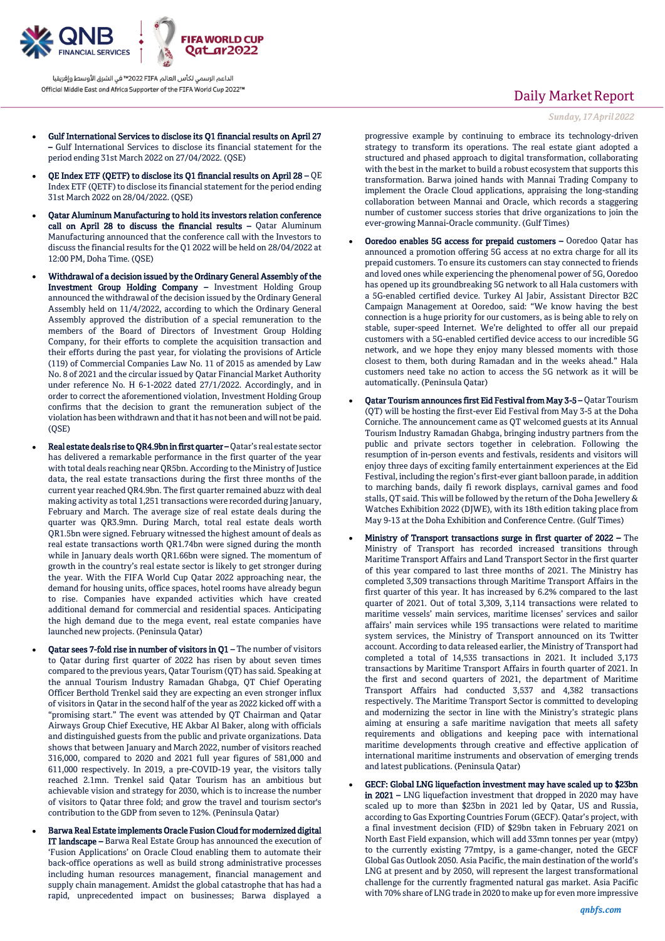

Gulf International Services to disclose its Q1 financial results on April 27

– Gulf International Services to disclose its financial statement for the period ending 31st March 2022 on 27/04/2022. (QSE)

- QE Index ETF (QETF) to disclose its Q1 financial results on April 28 QE Index ETF (QETF) to disclose its financial statement for the period ending 31st March 2022 on 28/04/2022. (QSE)
- Qatar Aluminum Manufacturing to hold its investors relation conference call on April 28 to discuss the financial results – Qatar Aluminum Manufacturing announced that the conference call with the Investors to discuss the financial results for the Q1 2022 will be held on 28/04/2022 at 12:00 PM, Doha Time. (QSE)
- Withdrawal of a decision issued by the Ordinary General Assembly of the Investment Group Holding Company – Investment Holding Group announced the withdrawal of the decision issued by the Ordinary General Assembly held on 11/4/2022, according to which the Ordinary General Assembly approved the distribution of a special remuneration to the members of the Board of Directors of Investment Group Holding Company, for their efforts to complete the acquisition transaction and their efforts during the past year, for violating the provisions of Article (119) of Commercial Companies Law No. 11 of 2015 as amended by Law No. 8 of 2021 and the circular issued by Qatar Financial Market Authority under reference No. H 6-1-2022 dated 27/1/2022. Accordingly, and in order to correct the aforementioned violation, Investment Holding Group confirms that the decision to grant the remuneration subject of the violation has been withdrawn and that it has not been and will not be paid.  $(OSE)$
- Real estate deals rise to QR4.9bn in first quarter Qatar's real estate sector has delivered a remarkable performance in the first quarter of the year with total deals reaching near QR5bn. According to the Ministry of Justice data, the real estate transactions during the first three months of the current year reached QR4.9bn. The first quarter remained abuzz with deal making activity as total 1,251 transactions were recorded during January, February and March. The average size of real estate deals during the quarter was QR3.9mn. During March, total real estate deals worth QR1.5bn were signed. February witnessed the highest amount of deals as real estate transactions worth QR1.74bn were signed during the month while in January deals worth QR1.66bn were signed. The momentum of growth in the country's real estate sector is likely to get stronger during the year. With the FIFA World Cup Qatar 2022 approaching near, the demand for housing units, office spaces, hotel rooms have already begun to rise. Companies have expanded activities which have created additional demand for commercial and residential spaces. Anticipating the high demand due to the mega event, real estate companies have launched new projects. (Peninsula Qatar)
	- Qatar sees 7-fold rise in number of visitors in Q1 The number of visitors to Qatar during first quarter of 2022 has risen by about seven times compared to the previous years, Qatar Tourism (QT) has said. Speaking at the annual Tourism Industry Ramadan Ghabga, QT Chief Operating Officer Berthold Trenkel said they are expecting an even stronger influx of visitors in Qatar in the second half of the year as 2022 kicked off with a "promising start." The event was attended by QT Chairman and Qatar Airways Group Chief Executive, HE Akbar Al Baker, along with officials and distinguished guests from the public and private organizations. Data shows that between January and March 2022, number of visitors reached 316,000, compared to 2020 and 2021 full year figures of 581,000 and 611,000 respectively. In 2019, a pre-COVID-19 year, the visitors tally reached 2.1mn. Trenkel said Qatar Tourism has an ambitious but achievable vision and strategy for 2030, which is to increase the number of visitors to Qatar three fold; and grow the travel and tourism sector's contribution to the GDP from seven to 12%. (Peninsula Qatar)
	- Barwa Real Estate implements Oracle Fusion Cloud for modernized digital IT landscape – Barwa Real Estate Group has announced the execution of 'Fusion Applications' on Oracle Cloud enabling them to automate their back-office operations as well as build strong administrative processes including human resources management, financial management and supply chain management. Amidst the global catastrophe that has had a rapid, unprecedented impact on businesses; Barwa displayed a

# Daily Market Report

*Sunday, 17April 2022*

progressive example by continuing to embrace its technology-driven strategy to transform its operations. The real estate giant adopted a structured and phased approach to digital transformation, collaborating with the best in the market to build a robust ecosystem that supports this transformation. Barwa joined hands with Mannai Trading Company to implement the Oracle Cloud applications, appraising the long-standing collaboration between Mannai and Oracle, which records a staggering number of customer success stories that drive organizations to join the ever-growing Mannai-Oracle community. (Gulf Times)

- Ooredoo enables 5G access for prepaid customers Ooredoo Qatar has announced a promotion offering 5G access at no extra charge for all its prepaid customers. To ensure its customers can stay connected to friends and loved ones while experiencing the phenomenal power of 5G, Ooredoo has opened up its groundbreaking 5G network to all Hala customers with a 5G-enabled certified device. Turkey Al Jabir, Assistant Director B2C Campaign Management at Ooredoo, said: "We know having the best connection is a huge priority for our customers, as is being able to rely on stable, super-speed Internet. We're delighted to offer all our prepaid customers with a 5G-enabled certified device access to our incredible 5G network, and we hope they enjoy many blessed moments with those closest to them, both during Ramadan and in the weeks ahead." Hala customers need take no action to access the 5G network as it will be automatically. (Peninsula Qatar)
- Qatar Tourism announces first Eid Festival from May 3-5 Qatar Tourism (QT) will be hosting the first-ever Eid Festival from May 3-5 at the Doha Corniche. The announcement came as QT welcomed guests at its Annual Tourism Industry Ramadan Ghabga, bringing industry partners from the public and private sectors together in celebration. Following the resumption of in-person events and festivals, residents and visitors will enjoy three days of exciting family entertainment experiences at the Eid Festival, including the region's first-ever giant balloon parade, in addition to marching bands, daily fi rework displays, carnival games and food stalls, QT said. This will be followed by the return of the Doha Jewellery & Watches Exhibition 2022 (DJWE), with its 18th edition taking place from May 9-13 at the Doha Exhibition and Conference Centre. (Gulf Times)
- Ministry of Transport transactions surge in first quarter of 2022 The Ministry of Transport has recorded increased transitions through Maritime Transport Affairs and Land Transport Sector in the first quarter of this year compared to last three months of 2021. The Ministry has completed 3,309 transactions through Maritime Transport Affairs in the first quarter of this year. It has increased by 6.2% compared to the last quarter of 2021. Out of total 3,309, 3,114 transactions were related to maritime vessels' main services, maritime licenses' services and sailor affairs' main services while 195 transactions were related to maritime system services, the Ministry of Transport announced on its Twitter account. According to data released earlier, the Ministry of Transport had completed a total of 14,535 transactions in 2021. It included 3,173 transactions by Maritime Transport Affairs in fourth quarter of 2021. In the first and second quarters of 2021, the department of Maritime Transport Affairs had conducted 3,537 and 4,382 transactions respectively. The Maritime Transport Sector is committed to developing and modernizing the sector in line with the Ministry's strategic plans aiming at ensuring a safe maritime navigation that meets all safety requirements and obligations and keeping pace with international maritime developments through creative and effective application of international maritime instruments and observation of emerging trends and latest publications. (Peninsula Qatar)
- GECF: Global LNG liquefaction investment may have scaled up to \$23bn in 2021 – LNG liquefaction investment that dropped in 2020 may have scaled up to more than \$23bn in 2021 led by Qatar, US and Russia, according to Gas Exporting Countries Forum (GECF). Qatar's project, with a final investment decision (FID) of \$29bn taken in February 2021 on North East Field expansion, which will add 33mn tonnes per year (mtpy) to the currently existing 77mtpy, is a game-changer, noted the GECF Global Gas Outlook 2050. Asia Pacific, the main destination of the world's LNG at present and by 2050, will represent the largest transformational challenge for the currently fragmented natural gas market. Asia Pacific with 70% share of LNG trade in 2020 to make up for even more impressive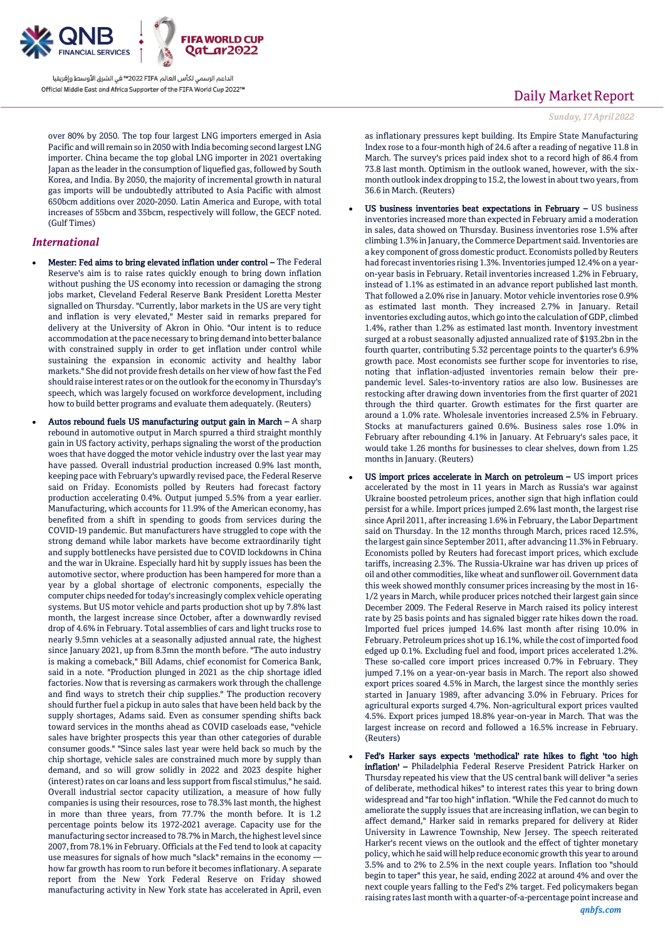

over 80% by 2050. The top four largest LNG importers emerged in Asia Pacific and will remain so in 2050 with India becoming second largest LNG importer. China became the top global LNG importer in 2021 overtaking Japan as the leader in the consumption of liquefied gas, followed by South Korea, and India. By 2050, the majority of incremental growth in natural gas imports will be undoubtedly attributed to Asia Pacific with almost 650bcm additions over 2020-2050. Latin America and Europe, with total increases of 55bcm and 35bcm, respectively will follow, the GECF noted. (Gulf Times)

### *International*

- Mester: Fed aims to bring elevated inflation under control The Federal Reserve's aim is to raise rates quickly enough to bring down inflation without pushing the US economy into recession or damaging the strong jobs market, Cleveland Federal Reserve Bank President Loretta Mester signalled on Thursday. "Currently, labor markets in the US are very tight and inflation is very elevated," Mester said in remarks prepared for delivery at the University of Akron in Ohio. "Our intent is to reduce accommodation at the pace necessary to bring demand into better balance with constrained supply in order to get inflation under control while sustaining the expansion in economic activity and healthy labor markets." She did not provide fresh details on her view of how fast the Fed should raise interest rates or on the outlook for the economy in Thursday's speech, which was largely focused on workforce development, including how to build better programs and evaluate them adequately. (Reuters)
- Autos rebound fuels US manufacturing output gain in March A sharp rebound in automotive output in March spurred a third straight monthly gain in US factory activity, perhaps signaling the worst of the production woes that have dogged the motor vehicle industry over the last year may have passed. Overall industrial production increased 0.9% last month, keeping pace with February's upwardly revised pace, the Federal Reserve said on Friday. Economists polled by Reuters had forecast factory production accelerating 0.4%. Output jumped 5.5% from a year earlier. Manufacturing, which accounts for 11.9% of the American economy, has benefited from a shift in spending to goods from services during the COVID-19 pandemic. But manufacturers have struggled to cope with the strong demand while labor markets have become extraordinarily tight and supply bottlenecks have persisted due to COVID lockdowns in China and the war in Ukraine. Especially hard hit by supply issues has been the automotive sector, where production has been hampered for more than a year by a global shortage of electronic components, especially the computer chips needed for today's increasingly complex vehicle operating systems. But US motor vehicle and parts production shot up by 7.8% last month, the largest increase since October, after a downwardly revised drop of 4.6% in February. Total assemblies of cars and light trucks rose to nearly 9.5mn vehicles at a seasonally adjusted annual rate, the highest since January 2021, up from 8.3mn the month before. "The auto industry is making a comeback," Bill Adams, chief economist for Comerica Bank, said in a note. "Production plunged in 2021 as the chip shortage idled factories. Now that is reversing as carmakers work through the challenge and find ways to stretch their chip supplies." The production recovery should further fuel a pickup in auto sales that have been held back by the supply shortages, Adams said. Even as consumer spending shifts back toward services in the months ahead as COVID caseloads ease, "vehicle sales have brighter prospects this year than other categories of durable consumer goods." "Since sales last year were held back so much by the chip shortage, vehicle sales are constrained much more by supply than demand, and so will grow solidly in 2022 and 2023 despite higher (interest) rates on car loans and less support from fiscal stimulus," he said. Overall industrial sector capacity utilization, a measure of how fully companies is using their resources, rose to 78.3% last month, the highest in more than three years, from 77.7% the month before. It is 1.2 percentage points below its 1972-2021 average. Capacity use for the manufacturing sector increased to 78.7% in March, the highest level since 2007, from 78.1% in February. Officials at the Fed tend to look at capacity use measures for signals of how much "slack" remains in the economy how far growth has room to run before it becomes inflationary. A separate report from the New York Federal Reserve on Friday showed manufacturing activity in New York state has accelerated in April, even

## Daily Market Report

*Sunday, 17April 2022*

as inflationary pressures kept building. Its Empire State Manufacturing Index rose to a four-month high of 24.6 after a reading of negative 11.8 in March. The survey's prices paid index shot to a record high of 86.4 from 73.8 last month. Optimism in the outlook waned, however, with the sixmonth outlook index dropping to 15.2, the lowest in about two years, from 36.6 in March. (Reuters)

- US business inventories beat expectations in February US business inventories increased more than expected in February amid a moderation in sales, data showed on Thursday. Business inventories rose 1.5% after climbing 1.3% in January, the Commerce Department said. Inventories are a key component of gross domestic product. Economists polled by Reuters had forecast inventories rising 1.3%. Inventories jumped 12.4% on a yearon-year basis in February. Retail inventories increased 1.2% in February, instead of 1.1% as estimated in an advance report published last month. That followed a 2.0% rise in January. Motor vehicle inventories rose 0.9% as estimated last month. They increased 2.7% in January. Retail inventories excluding autos, which go into the calculation of GDP, climbed 1.4%, rather than 1.2% as estimated last month. Inventory investment surged at a robust seasonally adjusted annualized rate of \$193.2bn in the fourth quarter, contributing 5.32 percentage points to the quarter's 6.9% growth pace. Most economists see further scope for inventories to rise, noting that inflation-adjusted inventories remain below their prepandemic level. Sales-to-inventory ratios are also low. Businesses are restocking after drawing down inventories from the first quarter of 2021 through the third quarter. Growth estimates for the first quarter are around a 1.0% rate. Wholesale inventories increased 2.5% in February. Stocks at manufacturers gained 0.6%. Business sales rose 1.0% in February after rebounding 4.1% in January. At February's sales pace, it would take 1.26 months for businesses to clear shelves, down from 1.25 months in January. (Reuters)
- US import prices accelerate in March on petroleum US import prices accelerated by the most in 11 years in March as Russia's war against Ukraine boosted petroleum prices, another sign that high inflation could persist for a while. Import prices jumped 2.6% last month, the largest rise since April 2011, after increasing 1.6% in February, the Labor Department said on Thursday. In the 12 months through March, prices raced 12.5%, the largest gain since September 2011, after advancing 11.3% in February. Economists polled by Reuters had forecast import prices, which exclude tariffs, increasing 2.3%. The Russia-Ukraine war has driven up prices of oil and other commodities, like wheat and sunflower oil. Government data this week showed monthly consumer prices increasing by the most in 16- 1/2 years in March, while producer prices notched their largest gain since December 2009. The Federal Reserve in March raised its policy interest rate by 25 basis points and has signaled bigger rate hikes down the road. Imported fuel prices jumped 14.6% last month after rising 10.0% in February. Petroleum prices shot up 16.1%, while the cost of imported food edged up 0.1%. Excluding fuel and food, import prices accelerated 1.2%. These so-called core import prices increased 0.7% in February. They jumped 7.1% on a year-on-year basis in March. The report also showed export prices soared 4.5% in March, the largest since the monthly series started in January 1989, after advancing 3.0% in February. Prices for agricultural exports surged 4.7%. Non-agricultural export prices vaulted 4.5%. Export prices jumped 18.8% year-on-year in March. That was the largest increase on record and followed a 16.5% increase in February. (Reuters)
- Fed's Harker says expects 'methodical' rate hikes to fight 'too high inflation' – Philadelphia Federal Reserve President Patrick Harker on Thursday repeated his view that the US central bank will deliver "a series of deliberate, methodical hikes" to interest rates this year to bring down widespread and "far too high" inflation. "While the Fed cannot do much to ameliorate the supply issues that are increasing inflation, we can begin to affect demand," Harker said in remarks prepared for delivery at Rider University in Lawrence Township, New Jersey. The speech reiterated Harker's recent views on the outlook and the effect of tighter monetary policy, which he said will help reduce economic growth this year to around 3.5% and to 2% to 2.5% in the next couple years. Inflation too "should begin to taper" this year, he said, ending 2022 at around 4% and over the next couple years falling to the Fed's 2% target. Fed policymakers began raising rates last month with a quarter-of-a-percentage point increase and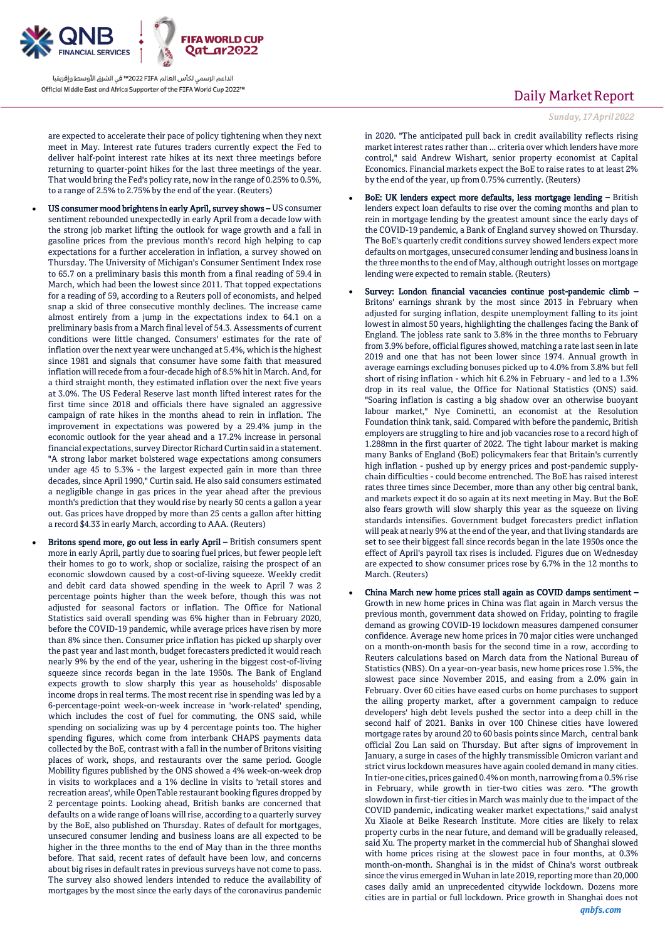

are expected to accelerate their pace of policy tightening when they next meet in May. Interest rate futures traders currently expect the Fed to deliver half-point interest rate hikes at its next three meetings before returning to quarter-point hikes for the last three meetings of the year. That would bring the Fed's policy rate, now in the range of 0.25% to 0.5%, to a range of 2.5% to 2.75% by the end of the year. (Reuters)

- US consumer mood brightens in early April, survey shows US consumer sentiment rebounded unexpectedly in early April from a decade low with the strong job market lifting the outlook for wage growth and a fall in gasoline prices from the previous month's record high helping to cap expectations for a further acceleration in inflation, a survey showed on Thursday. The University of Michigan's Consumer Sentiment Index rose to 65.7 on a preliminary basis this month from a final reading of 59.4 in March, which had been the lowest since 2011. That topped expectations for a reading of 59, according to a Reuters poll of economists, and helped snap a skid of three consecutive monthly declines. The increase came almost entirely from a jump in the expectations index to 64.1 on a preliminary basis from a March final level of 54.3. Assessments of current conditions were little changed. Consumers' estimates for the rate of inflation over the next year were unchanged at 5.4%, which is the highest since 1981 and signals that consumer have some faith that measured inflation will recede from a four-decade high of 8.5% hit in March. And, for a third straight month, they estimated inflation over the next five years at 3.0%. The US Federal Reserve last month lifted interest rates for the first time since 2018 and officials there have signaled an aggressive campaign of rate hikes in the months ahead to rein in inflation. The improvement in expectations was powered by a 29.4% jump in the economic outlook for the year ahead and a 17.2% increase in personal financial expectations, survey Director Richard Curtin said in a statement. "A strong labor market bolstered wage expectations among consumers under age 45 to 5.3% - the largest expected gain in more than three decades, since April 1990," Curtin said. He also said consumers estimated a negligible change in gas prices in the year ahead after the previous month's prediction that they would rise by nearly 50 cents a gallon a year out. Gas prices have dropped by more than 25 cents a gallon after hitting a record \$4.33 in early March, according to AAA. (Reuters)
- Britons spend more, go out less in early April British consumers spent more in early April, partly due to soaring fuel prices, but fewer people left their homes to go to work, shop or socialize, raising the prospect of an economic slowdown caused by a cost-of-living squeeze. Weekly credit and debit card data showed spending in the week to April 7 was 2 percentage points higher than the week before, though this was not adjusted for seasonal factors or inflation. The Office for National Statistics said overall spending was 6% higher than in February 2020, before the COVID-19 pandemic, while average prices have risen by more than 8% since then. Consumer price inflation has picked up sharply over the past year and last month, budget forecasters predicted it would reach nearly 9% by the end of the year, ushering in the biggest cost-of-living squeeze since records began in the late 1950s. The Bank of England expects growth to slow sharply this year as households' disposable income drops in real terms. The most recent rise in spending was led by a 6-percentage-point week-on-week increase in 'work-related' spending, which includes the cost of fuel for commuting, the ONS said, while spending on socializing was up by 4 percentage points too. The higher spending figures, which come from interbank CHAPS payments data collected by the BoE, contrast with a fall in the number of Britons visiting places of work, shops, and restaurants over the same period. Google Mobility figures published by the ONS showed a 4% week-on-week drop in visits to workplaces and a 1% decline in visits to 'retail stores and recreation areas', while OpenTable restaurant booking figures dropped by 2 percentage points. Looking ahead, British banks are concerned that defaults on a wide range of loans will rise, according to a quarterly survey by the BoE, also published on Thursday. Rates of default for mortgages, unsecured consumer lending and business loans are all expected to be higher in the three months to the end of May than in the three months before. That said, recent rates of default have been low, and concerns about big rises in default rates in previous surveys have not come to pass. The survey also showed lenders intended to reduce the availability of mortgages by the most since the early days of the coronavirus pandemic

# Daily Market Report

*Sunday, 17April 2022*

in 2020. "The anticipated pull back in credit availability reflects rising market interest rates rather than ... criteria over which lenders have more control," said Andrew Wishart, senior property economist at Capital Economics. Financial markets expect the BoE to raise rates to at least 2% by the end of the year, up from 0.75% currently. (Reuters)

- BoE: UK lenders expect more defaults, less mortgage lending British lenders expect loan defaults to rise over the coming months and plan to rein in mortgage lending by the greatest amount since the early days of the COVID-19 pandemic, a Bank of England survey showed on Thursday. The BoE's quarterly credit conditions survey showed lenders expect more defaults on mortgages, unsecured consumer lending and business loans in the three months to the end of May, although outright losses on mortgage lending were expected to remain stable. (Reuters)
- Survey: London financial vacancies continue post-pandemic climb Britons' earnings shrank by the most since 2013 in February when adjusted for surging inflation, despite unemployment falling to its joint lowest in almost 50 years, highlighting the challenges facing the Bank of England. The jobless rate sank to 3.8% in the three months to February from 3.9% before, official figures showed, matching a rate last seen in late 2019 and one that has not been lower since 1974. Annual growth in average earnings excluding bonuses picked up to 4.0% from 3.8% but fell short of rising inflation - which hit 6.2% in February - and led to a 1.3% drop in its real value, the Office for National Statistics (ONS) said. "Soaring inflation is casting a big shadow over an otherwise buoyant labour market," Nye Cominetti, an economist at the Resolution Foundation think tank, said. Compared with before the pandemic, British employers are struggling to hire and job vacancies rose to a record high of 1.288mn in the first quarter of 2022. The tight labour market is making many Banks of England (BoE) policymakers fear that Britain's currently high inflation - pushed up by energy prices and post-pandemic supplychain difficulties - could become entrenched. The BoE has raised interest rates three times since December, more than any other big central bank, and markets expect it do so again at its next meeting in May. But the BoE also fears growth will slow sharply this year as the squeeze on living standards intensifies. Government budget forecasters predict inflation will peak at nearly 9% at the end of the year, and that living standards are set to see their biggest fall since records began in the late 1950s once the effect of April's payroll tax rises is included. Figures due on Wednesday are expected to show consumer prices rose by 6.7% in the 12 months to March. (Reuters)
- China March new home prices stall again as COVID damps sentiment Growth in new home prices in China was flat again in March versus the previous month, government data showed on Friday, pointing to fragile demand as growing COVID-19 lockdown measures dampened consumer confidence. Average new home prices in 70 major cities were unchanged on a month-on-month basis for the second time in a row, according to Reuters calculations based on March data from the National Bureau of Statistics (NBS). On a year-on-year basis, new home prices rose 1.5%, the slowest pace since November 2015, and easing from a 2.0% gain in February. Over 60 cities have eased curbs on home purchases to support the ailing property market, after a government campaign to reduce developers' high debt levels pushed the sector into a deep chill in the second half of 2021. Banks in over 100 Chinese cities have lowered mortgage rates by around 20 to 60 basis points since March, central bank official Zou Lan said on Thursday. But after signs of improvement in January, a surge in cases of the highly transmissible Omicron variant and strict virus lockdown measures have again cooled demand in many cities. In tier-one cities, prices gained 0.4% on month, narrowing from a 0.5% rise in February, while growth in tier-two cities was zero. "The growth slowdown in first-tier cities in March was mainly due to the impact of the COVID pandemic, indicating weaker market expectations," said analyst Xu Xiaole at Beike Research Institute. More cities are likely to relax property curbs in the near future, and demand will be gradually released, said Xu. The property market in the commercial hub of Shanghai slowed with home prices rising at the slowest pace in four months, at 0.3% month-on-month. Shanghai is in the midst of China's worst outbreak since the virus emerged in Wuhan in late 2019, reporting more than 20,000 cases daily amid an unprecedented citywide lockdown. Dozens more cities are in partial or full lockdown. Price growth in Shanghai does not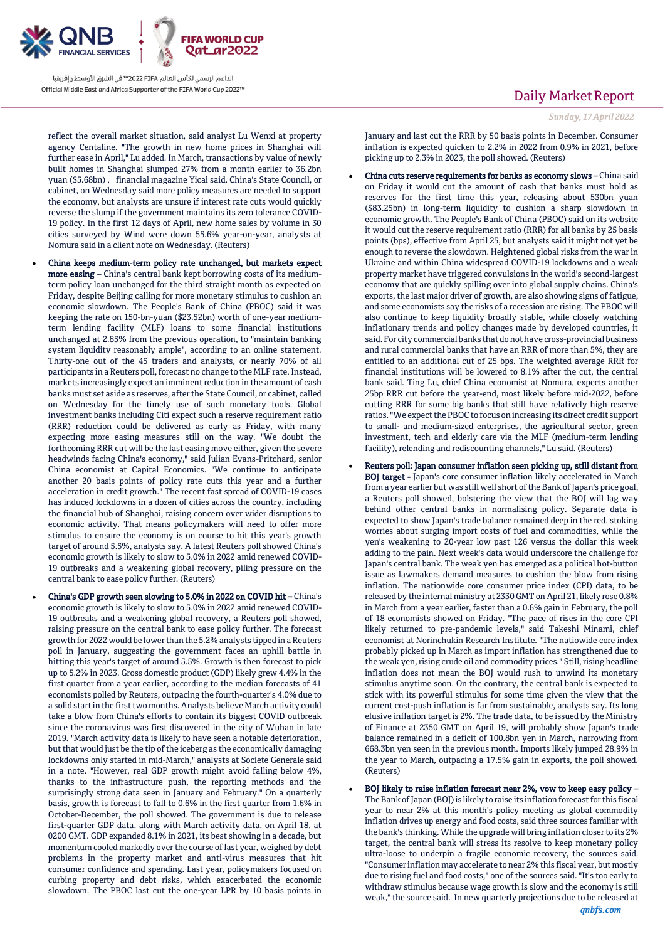

reflect the overall market situation, said analyst Lu Wenxi at property agency Centaline. "The growth in new home prices in Shanghai will further ease in April," Lu added. In March, transactions by value of newly built homes in Shanghai slumped 27% from a month earlier to 36.2bn yuan (\$5.68bn) , financial magazine Yicai said. China's State Council, or cabinet, on Wednesday said more policy measures are needed to support the economy, but analysts are unsure if interest rate cuts would quickly reverse the slump if the government maintains its zero tolerance COVID-19 policy. In the first 12 days of April, new home sales by volume in 30 cities surveyed by Wind were down 55.6% year-on-year, analysts at Nomura said in a client note on Wednesday. (Reuters)

- China keeps medium-term policy rate unchanged, but markets expect more easing – China's central bank kept borrowing costs of its mediumterm policy loan unchanged for the third straight month as expected on Friday, despite Beijing calling for more monetary stimulus to cushion an economic slowdown. The People's Bank of China (PBOC) said it was keeping the rate on 150-bn-yuan (\$23.52bn) worth of one-year mediumterm lending facility (MLF) loans to some financial institutions unchanged at 2.85% from the previous operation, to "maintain banking system liquidity reasonably ample", according to an online statement. Thirty-one out of the 45 traders and analysts, or nearly 70% of all participants in a Reuters poll, forecast no change to the MLF rate. Instead, markets increasingly expect an imminent reduction in the amount of cash banks must set aside as reserves, after the State Council, or cabinet, called on Wednesday for the timely use of such monetary tools. Global investment banks including Citi expect such a reserve requirement ratio (RRR) reduction could be delivered as early as Friday, with many expecting more easing measures still on the way. "We doubt the forthcoming RRR cut will be the last easing move either, given the severe headwinds facing China's economy," said Julian Evans-Pritchard, senior China economist at Capital Economics. "We continue to anticipate another 20 basis points of policy rate cuts this year and a further acceleration in credit growth." The recent fast spread of COVID-19 cases has induced lockdowns in a dozen of cities across the country, including the financial hub of Shanghai, raising concern over wider disruptions to economic activity. That means policymakers will need to offer more stimulus to ensure the economy is on course to hit this year's growth target of around 5.5%, analysts say. A latest Reuters poll showed China's economic growth is likely to slow to 5.0% in 2022 amid renewed COVID-19 outbreaks and a weakening global recovery, piling pressure on the central bank to ease policy further. (Reuters)
- China's GDP growth seen slowing to 5.0% in 2022 on COVID hit China's economic growth is likely to slow to 5.0% in 2022 amid renewed COVID-19 outbreaks and a weakening global recovery, a Reuters poll showed, raising pressure on the central bank to ease policy further. The forecast growth for 2022 would be lower than the 5.2% analysts tipped in a Reuters poll in January, suggesting the government faces an uphill battle in hitting this year's target of around 5.5%. Growth is then forecast to pick up to 5.2% in 2023. Gross domestic product (GDP) likely grew 4.4% in the first quarter from a year earlier, according to the median forecasts of 41 economists polled by Reuters, outpacing the fourth-quarter's 4.0% due to a solid start in the first two months. Analysts believe March activity could take a blow from China's efforts to contain its biggest COVID outbreak since the coronavirus was first discovered in the city of Wuhan in late 2019. "March activity data is likely to have seen a notable deterioration, but that would just be the tip of the iceberg as the economically damaging lockdowns only started in mid-March," analysts at Societe Generale said in a note. "However, real GDP growth might avoid falling below 4%, thanks to the infrastructure push, the reporting methods and the surprisingly strong data seen in January and February." On a quarterly basis, growth is forecast to fall to 0.6% in the first quarter from 1.6% in October-December, the poll showed. The government is due to release first-quarter GDP data, along with March activity data, on April 18, at 0200 GMT. GDP expanded 8.1% in 2021, its best showing in a decade, but momentum cooled markedly over the course of last year, weighed by debt problems in the property market and anti-virus measures that hit consumer confidence and spending. Last year, policymakers focused on curbing property and debt risks, which exacerbated the economic slowdown. The PBOC last cut the one-year LPR by 10 basis points in

## Daily Market Report

*Sunday, 17April 2022*

January and last cut the RRR by 50 basis points in December. Consumer inflation is expected quicken to 2.2% in 2022 from 0.9% in 2021, before picking up to 2.3% in 2023, the poll showed. (Reuters)

- China cuts reserve requirements for banks as economy slows China said on Friday it would cut the amount of cash that banks must hold as reserves for the first time this year, releasing about 530bn yuan (\$83.25bn) in long-term liquidity to cushion a sharp slowdown in economic growth. The People's Bank of China (PBOC) said on its website it would cut the reserve requirement ratio (RRR) for all banks by 25 basis points (bps), effective from April 25, but analysts said it might not yet be enough to reverse the slowdown. Heightened global risks from the war in Ukraine and within China widespread COVID-19 lockdowns and a weak property market have triggered convulsions in the world's second-largest economy that are quickly spilling over into global supply chains. China's exports, the last major driver of growth, are also showing signs of fatigue, and some economists say the risks of a recession are rising. The PBOC will also continue to keep liquidity broadly stable, while closely watching inflationary trends and policy changes made by developed countries, it said. For city commercial banks that do not have cross-provincial business and rural commercial banks that have an RRR of more than 5%, they are entitled to an additional cut of 25 bps. The weighted average RRR for financial institutions will be lowered to 8.1% after the cut, the central bank said. Ting Lu, chief China economist at Nomura, expects another 25bp RRR cut before the year-end, most likely before mid-2022, before cutting RRR for some big banks that still have relatively high reserve ratios. "We expect the PBOC to focus on increasing its direct credit support to small- and medium-sized enterprises, the agricultural sector, green investment, tech and elderly care via the MLF (medium-term lending facility), relending and rediscounting channels," Lu said. (Reuters)
- Reuters poll: Japan consumer inflation seen picking up, still distant from BOJ target - Japan's core consumer inflation likely accelerated in March from a year earlier but was still well short of the Bank of Japan's price goal, a Reuters poll showed, bolstering the view that the BOJ will lag way behind other central banks in normalising policy. Separate data is expected to show Japan's trade balance remained deep in the red, stoking worries about surging import costs of fuel and commodities, while the yen's weakening to 20-year low past 126 versus the dollar this week adding to the pain. Next week's data would underscore the challenge for Japan's central bank. The weak yen has emerged as a political hot-button issue as lawmakers demand measures to cushion the blow from rising inflation. The nationwide core consumer price index (CPI) data, to be released by the internal ministry at 2330 GMT on April 21, likely rose 0.8% in March from a year earlier, faster than a 0.6% gain in February, the poll of 18 economists showed on Friday. "The pace of rises in the core CPI likely returned to pre-pandemic levels," said Takeshi Minami, chief economist at Norinchukin Research Institute. "The natiowide core index probably picked up in March as import inflation has strengthened due to the weak yen, rising crude oil and commodity prices." Still, rising headline inflation does not mean the BOJ would rush to unwind its monetary stimulus anytime soon. On the contrary, the central bank is expected to stick with its powerful stimulus for some time given the view that the current cost-push inflation is far from sustainable, analysts say. Its long elusive inflation target is 2%. The trade data, to be issued by the Ministry of Finance at 2350 GMT on April 19, will probably show Japan's trade balance remained in a deficit of 100.8bn yen in March, narrowing from 668.3bn yen seen in the previous month. Imports likely jumped 28.9% in the year to March, outpacing a 17.5% gain in exports, the poll showed. (Reuters)
- BOJ likely to raise inflation forecast near 2%, vow to keep easy policy The Bank of Japan (BOJ) is likely to raise its inflation forecast for this fiscal year to near 2% at this month's policy meeting as global commodity inflation drives up energy and food costs, said three sources familiar with the bank's thinking. While the upgrade will bring inflation closer to its 2% target, the central bank will stress its resolve to keep monetary policy ultra-loose to underpin a fragile economic recovery, the sources said. "Consumer inflation may accelerate to near 2% this fiscal year, but mostly due to rising fuel and food costs," one of the sources said. "It's too early to withdraw stimulus because wage growth is slow and the economy is still weak," the source said. In new quarterly projections due to be released at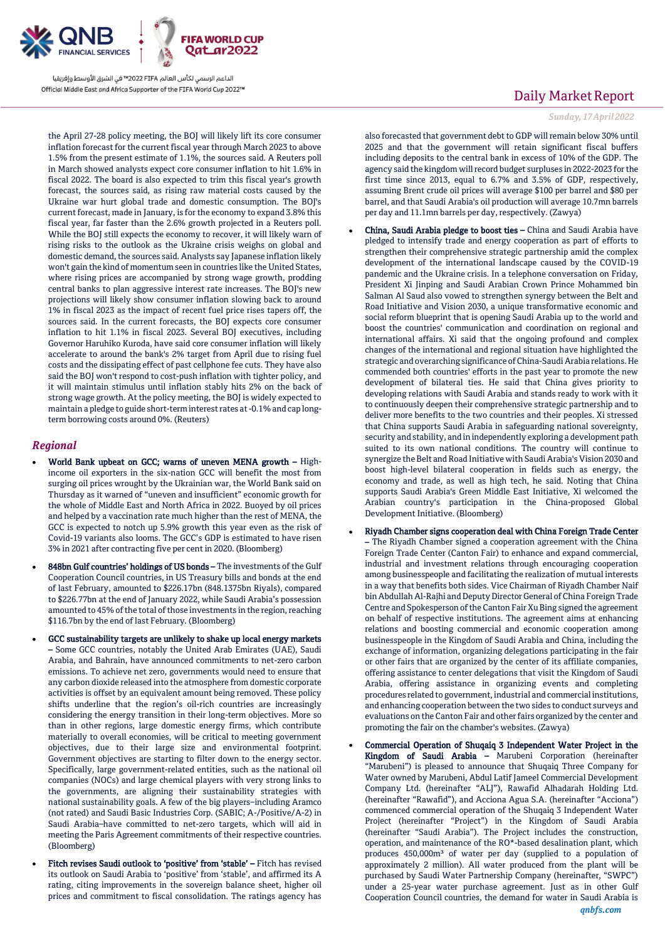

the April 27-28 policy meeting, the BOJ will likely lift its core consumer inflation forecast for the current fiscal year through March 2023 to above 1.5% from the present estimate of 1.1%, the sources said. A Reuters poll in March showed analysts expect core consumer inflation to hit 1.6% in fiscal 2022. The board is also expected to trim this fiscal year's growth forecast, the sources said, as rising raw material costs caused by the Ukraine war hurt global trade and domestic consumption. The BOJ's current forecast, made in January, is for the economy to expand 3.8% this fiscal year, far faster than the 2.6% growth projected in a Reuters poll. While the BOJ still expects the economy to recover, it will likely warn of rising risks to the outlook as the Ukraine crisis weighs on global and domestic demand, the sources said. Analysts say Japanese inflation likely won't gain the kind of momentum seen in countries like the United States, where rising prices are accompanied by strong wage growth, prodding central banks to plan aggressive interest rate increases. The BOJ's new projections will likely show consumer inflation slowing back to around 1% in fiscal 2023 as the impact of recent fuel price rises tapers off, the sources said. In the current forecasts, the BOJ expects core consumer inflation to hit 1.1% in fiscal 2023. Several BOJ executives, including Governor Haruhiko Kuroda, have said core consumer inflation will likely accelerate to around the bank's 2% target from April due to rising fuel costs and the dissipating effect of past cellphone fee cuts. They have also said the BOJ won't respond to cost-push inflation with tighter policy, and it will maintain stimulus until inflation stably hits 2% on the back of strong wage growth. At the policy meeting, the BOJ is widely expected to maintain a pledge to guide short-term interest rates at -0.1% and cap longterm borrowing costs around 0%. (Reuters)

### *Regional*

- World Bank upbeat on GCC; warns of uneven MENA growth Highincome oil exporters in the six-nation GCC will benefit the most from surging oil prices wrought by the Ukrainian war, the World Bank said on Thursday as it warned of "uneven and insufficient" economic growth for the whole of Middle East and North Africa in 2022. Buoyed by oil prices and helped by a vaccination rate much higher than the rest of MENA, the GCC is expected to notch up 5.9% growth this year even as the risk of Covid-19 variants also looms. The GCC's GDP is estimated to have risen 3% in 2021 after contracting five per cent in 2020. (Bloomberg)
- 848bn Gulf countries' holdings of US bonds The investments of the Gulf Cooperation Council countries, in US Treasury bills and bonds at the end of last February, amounted to \$226.17bn (848.1375bn Riyals), compared to \$226.77bn at the end of January 2022, while Saudi Arabia's possession amounted to 45% of the total of those investments in the region, reaching \$116.7bn by the end of last February. (Bloomberg)
- GCC sustainability targets are unlikely to shake up local energy markets – Some GCC countries, notably the United Arab Emirates (UAE), Saudi Arabia, and Bahrain, have announced commitments to net-zero carbon emissions. To achieve net zero, governments would need to ensure that any carbon dioxide released into the atmosphere from domestic corporate activities is offset by an equivalent amount being removed. These policy shifts underline that the region's oil-rich countries are increasingly considering the energy transition in their long-term objectives. More so than in other regions, large domestic energy firms, which contribute materially to overall economies, will be critical to meeting government objectives, due to their large size and environmental footprint. Government objectives are starting to filter down to the energy sector. Specifically, large government-related entities, such as the national oil companies (NOCs) and large chemical players with very strong links to the governments, are aligning their sustainability strategies with national sustainability goals. A few of the big players–including Aramco (not rated) and Saudi Basic Industries Corp. (SABIC; A-/Positive/A-2) in Saudi Arabia–have committed to net-zero targets, which will aid in meeting the Paris Agreement commitments of their respective countries. (Bloomberg)
- Fitch revises Saudi outlook to 'positive' from 'stable' Fitch has revised its outlook on Saudi Arabia to 'positive' from 'stable', and affirmed its A rating, citing improvements in the sovereign balance sheet, higher oil prices and commitment to fiscal consolidation. The ratings agency has

# Daily Market Report

#### *Sunday, 17April 2022*

also forecasted that government debt to GDP will remain below 30% until 2025 and that the government will retain significant fiscal buffers including deposits to the central bank in excess of 10% of the GDP. The agency said the kingdom will record budget surpluses in 2022-2023 for the first time since 2013, equal to 6.7% and 3.5% of GDP, respectively, assuming Brent crude oil prices will average \$100 per barrel and \$80 per barrel, and that Saudi Arabia's oil production will average 10.7mn barrels per day and 11.1mn barrels per day, respectively. (Zawya)

- China, Saudi Arabia pledge to boost ties China and Saudi Arabia have pledged to intensify trade and energy cooperation as part of efforts to strengthen their comprehensive strategic partnership amid the complex development of the international landscape caused by the COVID-19 pandemic and the Ukraine crisis. In a telephone conversation on Friday, President Xi Jinping and Saudi Arabian Crown Prince Mohammed bin Salman Al Saud also vowed to strengthen synergy between the Belt and Road Initiative and Vision 2030, a unique transformative economic and social reform blueprint that is opening Saudi Arabia up to the world and boost the countries' communication and coordination on regional and international affairs. Xi said that the ongoing profound and complex changes of the international and regional situation have highlighted the strategic and overarching significance of China-Saudi Arabia relations. He commended both countries' efforts in the past year to promote the new development of bilateral ties. He said that China gives priority to developing relations with Saudi Arabia and stands ready to work with it to continuously deepen their comprehensive strategic partnership and to deliver more benefits to the two countries and their peoples. Xi stressed that China supports Saudi Arabia in safeguarding national sovereignty, security and stability, and in independently exploring a development path suited to its own national conditions. The country will continue to synergize the Belt and Road Initiative with Saudi Arabia's Vision 2030 and boost high-level bilateral cooperation in fields such as energy, the economy and trade, as well as high tech, he said. Noting that China supports Saudi Arabia's Green Middle East Initiative, Xi welcomed the Arabian country's participation in the China-proposed Global Development Initiative. (Bloomberg)
- Riyadh Chamber signs cooperation deal with China Foreign Trade Center – The Riyadh Chamber signed a cooperation agreement with the China Foreign Trade Center (Canton Fair) to enhance and expand commercial, industrial and investment relations through encouraging cooperation among businesspeople and facilitating the realization of mutual interests in a way that benefits both sides. Vice Chairman of Riyadh Chamber Naif bin Abdullah Al-Rajhi and Deputy Director General of China Foreign Trade Centre and Spokesperson of the Canton Fair Xu Bing signed the agreement on behalf of respective institutions. The agreement aims at enhancing relations and boosting commercial and economic cooperation among businesspeople in the Kingdom of Saudi Arabia and China, including the exchange of information, organizing delegations participating in the fair or other fairs that are organized by the center of its affiliate companies, offering assistance to center delegations that visit the Kingdom of Saudi Arabia, offering assistance in organizing events and completing procedures related to government, industrial and commercial institutions, and enhancing cooperation between the two sides to conduct surveys and evaluations on the Canton Fair and other fairs organized by the center and promoting the fair on the chamber's websites. (Zawya)
- Commercial Operation of Shuqaiq 3 Independent Water Project in the Kingdom of Saudi Arabia – Marubeni Corporation (hereinafter "Marubeni") is pleased to announce that Shuqaiq Three Company for Water owned by Marubeni, Abdul Latif Jameel Commercial Development Company Ltd. (hereinafter "ALJ"), Rawafid Alhadarah Holding Ltd. (hereinafter "Rawafid"), and Acciona Agua S.A. (hereinafter "Acciona") commenced commercial operation of the Shuqaiq 3 Independent Water Project (hereinafter "Project") in the Kingdom of Saudi Arabia (hereinafter "Saudi Arabia"). The Project includes the construction, operation, and maintenance of the RO\*-based desalination plant, which produces 450,000m<sup>3</sup> of water per day (supplied to a population of approximately 2 million). All water produced from the plant will be purchased by Saudi Water Partnership Company (hereinafter, "SWPC") under a 25-year water purchase agreement. Just as in other Gulf Cooperation Council countries, the demand for water in Saudi Arabia is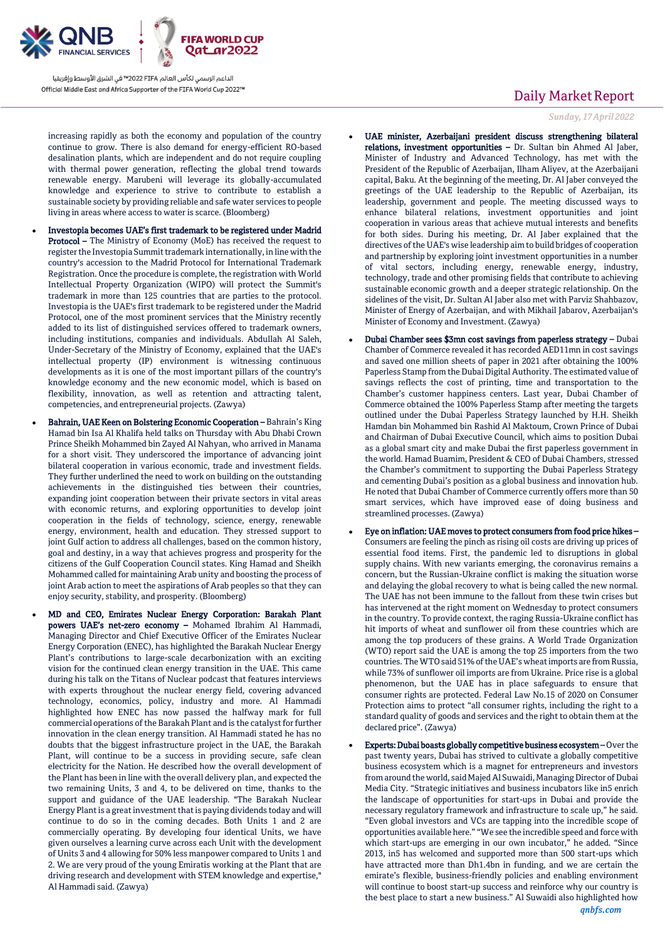

increasing rapidly as both the economy and population of the country continue to grow. There is also demand for energy-efficient RO-based desalination plants, which are independent and do not require coupling with thermal power generation, reflecting the global trend towards renewable energy. Marubeni will leverage its globally-accumulated knowledge and experience to strive to contribute to establish a sustainable society by providing reliable and safe water services to people living in areas where access to water is scarce. (Bloomberg)

- Investopia becomes UAE's first trademark to be registered under Madrid Protocol – The Ministry of Economy (MoE) has received the request to register the Investopia Summit trademark internationally, in line with the country's accession to the Madrid Protocol for International Trademark Registration. Once the procedure is complete, the registration with World Intellectual Property Organization (WIPO) will protect the Summit's trademark in more than 125 countries that are parties to the protocol. Investopia is the UAE's first trademark to be registered under the Madrid Protocol, one of the most prominent services that the Ministry recently added to its list of distinguished services offered to trademark owners, including institutions, companies and individuals. Abdullah Al Saleh, Under-Secretary of the Ministry of Economy, explained that the UAE's intellectual property (IP) environment is witnessing continuous developments as it is one of the most important pillars of the country's knowledge economy and the new economic model, which is based on flexibility, innovation, as well as retention and attracting talent, competencies, and entrepreneurial projects. (Zawya)
- Bahrain, UAE Keen on Bolstering Economic Cooperation Bahrain's King Hamad bin Isa Al Khalifa held talks on Thursday with Abu Dhabi Crown Prince Sheikh Mohammed bin Zayed Al Nahyan, who arrived in Manama for a short visit. They underscored the importance of advancing joint bilateral cooperation in various economic, trade and investment fields. They further underlined the need to work on building on the outstanding achievements in the distinguished ties between their countries, expanding joint cooperation between their private sectors in vital areas with economic returns, and exploring opportunities to develop joint cooperation in the fields of technology, science, energy, renewable energy, environment, health and education. They stressed support to joint Gulf action to address all challenges, based on the common history, goal and destiny, in a way that achieves progress and prosperity for the citizens of the Gulf Cooperation Council states. King Hamad and Sheikh Mohammed called for maintaining Arab unity and boosting the process of joint Arab action to meet the aspirations of Arab peoples so that they can enjoy security, stability, and prosperity. (Bloomberg)
- MD and CEO, Emirates Nuclear Energy Corporation: Barakah Plant powers UAE's net-zero economy – Mohamed Ibrahim Al Hammadi, Managing Director and Chief Executive Officer of the Emirates Nuclear Energy Corporation (ENEC), has highlighted the Barakah Nuclear Energy Plant's contributions to large-scale decarbonization with an exciting vision for the continued clean energy transition in the UAE. This came during his talk on the Titans of Nuclear podcast that features interviews with experts throughout the nuclear energy field, covering advanced technology, economics, policy, industry and more. Al Hammadi highlighted how ENEC has now passed the halfway mark for full commercial operations of the Barakah Plant and is the catalyst for further innovation in the clean energy transition. Al Hammadi stated he has no doubts that the biggest infrastructure project in the UAE, the Barakah Plant, will continue to be a success in providing secure, safe clean electricity for the Nation. He described how the overall development of the Plant has been in line with the overall delivery plan, and expected the two remaining Units, 3 and 4, to be delivered on time, thanks to the support and guidance of the UAE leadership. "The Barakah Nuclear Energy Plant is a great investment that is paying dividends today and will continue to do so in the coming decades. Both Units 1 and 2 are commercially operating. By developing four identical Units, we have given ourselves a learning curve across each Unit with the development of Units 3 and 4 allowing for 50% less manpower compared to Units 1 and 2. We are very proud of the young Emiratis working at the Plant that are driving research and development with STEM knowledge and expertise," Al Hammadi said. (Zawya)

# Daily Market Report

*Sunday, 17April 2022*

- UAE minister, Azerbaijani president discuss strengthening bilateral relations, investment opportunities – Dr. Sultan bin Ahmed Al Jaber, Minister of Industry and Advanced Technology, has met with the President of the Republic of Azerbaijan, Ilham Aliyev, at the Azerbaijani capital, Baku. At the beginning of the meeting, Dr. Al Jaber conveyed the greetings of the UAE leadership to the Republic of Azerbaijan, its leadership, government and people. The meeting discussed ways to enhance bilateral relations, investment opportunities and joint cooperation in various areas that achieve mutual interests and benefits for both sides. During his meeting, Dr. Al Jaber explained that the directives of the UAE's wise leadership aim to build bridges of cooperation and partnership by exploring joint investment opportunities in a number of vital sectors, including energy, renewable energy, industry, technology, trade and other promising fields that contribute to achieving sustainable economic growth and a deeper strategic relationship. On the sidelines of the visit, Dr. Sultan Al Jaber also met with Parviz Shahbazov, Minister of Energy of Azerbaijan, and with Mikhail Jabarov, Azerbaijan's Minister of Economy and Investment. (Zawya)
- Dubai Chamber sees \$3mn cost savings from paperless strategy Dubai Chamber of Commerce revealed it has recorded AED11mn in cost savings and saved one million sheets of paper in 2021 after obtaining the 100% Paperless Stamp from the Dubai Digital Authority. The estimated value of savings reflects the cost of printing, time and transportation to the Chamber's customer happiness centers. Last year, Dubai Chamber of Commerce obtained the 100% Paperless Stamp after meeting the targets outlined under the Dubai Paperless Strategy launched by H.H. Sheikh Hamdan bin Mohammed bin Rashid Al Maktoum, Crown Prince of Dubai and Chairman of Dubai Executive Council, which aims to position Dubai as a global smart city and make Dubai the first paperless government in the world. Hamad Buamim, President & CEO of Dubai Chambers, stressed the Chamber's commitment to supporting the Dubai Paperless Strategy and cementing Dubai's position as a global business and innovation hub. He noted that Dubai Chamber of Commerce currently offers more than 50 smart services, which have improved ease of doing business and streamlined processes. (Zawya)
- Eye on inflation: UAE moves to protect consumers from food price hikes Consumers are feeling the pinch as rising oil costs are driving up prices of essential food items. First, the pandemic led to disruptions in global supply chains. With new variants emerging, the coronavirus remains a concern, but the Russian-Ukraine conflict is making the situation worse and delaying the global recovery to what is being called the new normal. The UAE has not been immune to the fallout from these twin crises but has intervened at the right moment on Wednesday to protect consumers in the country. To provide context, the raging Russia-Ukraine conflict has hit imports of wheat and sunflower oil from these countries which are among the top producers of these grains. A World Trade Organization (WTO) report said the UAE is among the top 25 importers from the two countries. The WTO said 51% of the UAE's wheat imports are from Russia, while 73% of sunflower oil imports are from Ukraine. Price rise is a global phenomenon, but the UAE has in place safeguards to ensure that consumer rights are protected. Federal Law No.15 of 2020 on Consumer Protection aims to protect "all consumer rights, including the right to a standard quality of goods and services and the right to obtain them at the declared price". (Zawya)
- Experts: Dubai boasts globally competitive business ecosystem Over the past twenty years, Dubai has strived to cultivate a globally competitive business ecosystem which is a magnet for entrepreneurs and investors from around the world, said Majed Al Suwaidi, Managing Director of Dubai Media City. "Strategic initiatives and business incubators like in5 enrich the landscape of opportunities for start-ups in Dubai and provide the necessary regulatory framework and infrastructure to scale up," he said. "Even global investors and VCs are tapping into the incredible scope of opportunities available here." "We see the incredible speed and force with which start-ups are emerging in our own incubator," he added. "Since 2013, in5 has welcomed and supported more than 500 start-ups which have attracted more than Dh1.4bn in funding, and we are certain the emirate's flexible, business-friendly policies and enabling environment will continue to boost start-up success and reinforce why our country is the best place to start a new business." Al Suwaidi also highlighted how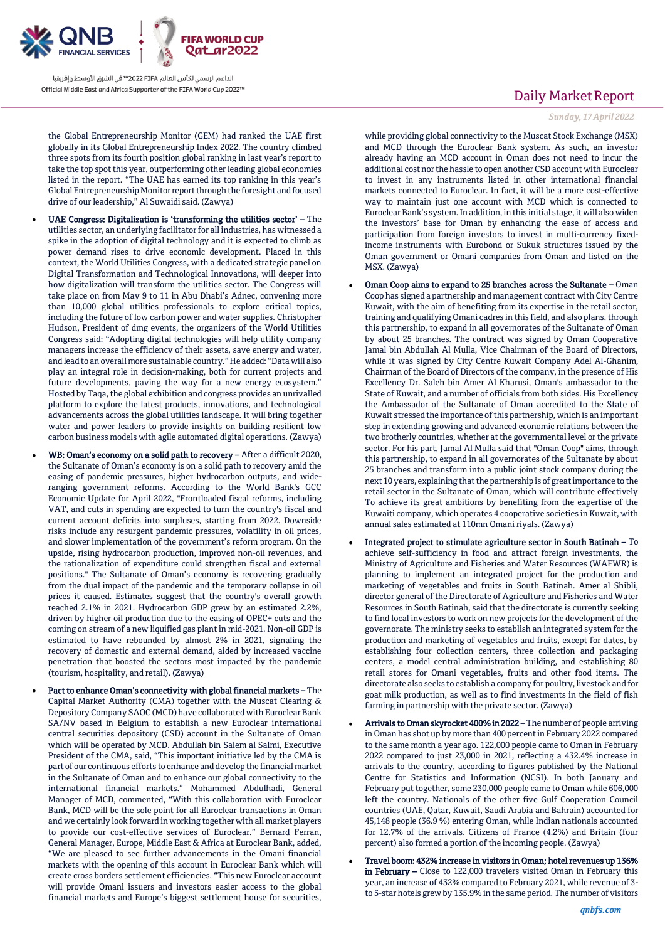

the Global Entrepreneurship Monitor (GEM) had ranked the UAE first globally in its Global Entrepreneurship Index 2022. The country climbed three spots from its fourth position global ranking in last year's report to take the top spot this year, outperforming other leading global economies listed in the report. "The UAE has earned its top ranking in this year's Global Entrepreneurship Monitor report through the foresight and focused drive of our leadership," Al Suwaidi said. (Zawya)

- UAE Congress: Digitalization is 'transforming the utilities sector' The utilities sector, an underlying facilitator for all industries, has witnessed a spike in the adoption of digital technology and it is expected to climb as power demand rises to drive economic development. Placed in this context, the World Utilities Congress, with a dedicated strategic panel on Digital Transformation and Technological Innovations, will deeper into how digitalization will transform the utilities sector. The Congress will take place on from May 9 to 11 in Abu Dhabi's Adnec, convening more than 10,000 global utilities professionals to explore critical topics, including the future of low carbon power and water supplies. Christopher Hudson, President of dmg events, the organizers of the World Utilities Congress said: "Adopting digital technologies will help utility company managers increase the efficiency of their assets, save energy and water, and lead to an overall more sustainable country." He added: "Data will also play an integral role in decision-making, both for current projects and future developments, paving the way for a new energy ecosystem." Hosted by Taqa, the global exhibition and congress provides an unrivalled platform to explore the latest products, innovations, and technological advancements across the global utilities landscape. It will bring together water and power leaders to provide insights on building resilient low carbon business models with agile automated digital operations. (Zawya)
- WB: Oman's economy on a solid path to recovery After a difficult 2020, the Sultanate of Oman's economy is on a solid path to recovery amid the easing of pandemic pressures, higher hydrocarbon outputs, and wideranging government reforms. According to the World Bank's GCC Economic Update for April 2022, "Frontloaded fiscal reforms, including VAT, and cuts in spending are expected to turn the country's fiscal and current account deficits into surpluses, starting from 2022. Downside risks include any resurgent pandemic pressures, volatility in oil prices, and slower implementation of the government's reform program. On the upside, rising hydrocarbon production, improved non-oil revenues, and the rationalization of expenditure could strengthen fiscal and external positions." The Sultanate of Oman's economy is recovering gradually from the dual impact of the pandemic and the temporary collapse in oil prices it caused. Estimates suggest that the country's overall growth reached 2.1% in 2021. Hydrocarbon GDP grew by an estimated 2.2%, driven by higher oil production due to the easing of OPEC+ cuts and the coming on stream of a new liquified gas plant in mid-2021. Non-oil GDP is estimated to have rebounded by almost 2% in 2021, signaling the recovery of domestic and external demand, aided by increased vaccine penetration that boosted the sectors most impacted by the pandemic (tourism, hospitality, and retail). (Zawya)
- Pact to enhance Oman's connectivity with global financial markets The Capital Market Authority (CMA) together with the Muscat Clearing & Depository Company SAOC (MCD) have collaborated with Euroclear Bank SA/NV based in Belgium to establish a new Euroclear international central securities depository (CSD) account in the Sultanate of Oman which will be operated by MCD. Abdullah bin Salem al Salmi, Executive President of the CMA, said, "This important initiative led by the CMA is part of our continuous efforts to enhance and develop the financial market in the Sultanate of Oman and to enhance our global connectivity to the international financial markets." Mohammed Abdulhadi, General Manager of MCD, commented, "With this collaboration with Euroclear Bank, MCD will be the sole point for all Euroclear transactions in Oman and we certainly look forward in working together with all market players to provide our cost-effective services of Euroclear." Bernard Ferran, General Manager, Europe, Middle East & Africa at Euroclear Bank, added, "We are pleased to see further advancements in the Omani financial markets with the opening of this account in Euroclear Bank which will create cross borders settlement efficiencies. "This new Euroclear account will provide Omani issuers and investors easier access to the global financial markets and Europe's biggest settlement house for securities,

# Daily Market Report

#### *Sunday, 17April 2022*

while providing global connectivity to the Muscat Stock Exchange (MSX) and MCD through the Euroclear Bank system. As such, an investor already having an MCD account in Oman does not need to incur the additional cost nor the hassle to open another CSD account with Euroclear to invest in any instruments listed in other international financial markets connected to Euroclear. In fact, it will be a more cost-effective way to maintain just one account with MCD which is connected to Euroclear Bank's system. In addition, in this initial stage, it will also widen the investors' base for Oman by enhancing the ease of access and participation from foreign investors to invest in multi-currency fixedincome instruments with Eurobond or Sukuk structures issued by the Oman government or Omani companies from Oman and listed on the MSX. (Zawya)

- Oman Coop aims to expand to 25 branches across the Sultanate Oman Coop has signed a partnership and management contract with City Centre Kuwait, with the aim of benefiting from its expertise in the retail sector, training and qualifying Omani cadres in this field, and also plans, through this partnership, to expand in all governorates of the Sultanate of Oman by about 25 branches. The contract was signed by Oman Cooperative Jamal bin Abdullah Al Mulla, Vice Chairman of the Board of Directors, while it was signed by City Centre Kuwait Company Adel Al-Ghanim, Chairman of the Board of Directors of the company, in the presence of His Excellency Dr. Saleh bin Amer Al Kharusi, Oman's ambassador to the State of Kuwait, and a number of officials from both sides. His Excellency the Ambassador of the Sultanate of Oman accredited to the State of Kuwait stressed the importance of this partnership, which is an important step in extending growing and advanced economic relations between the two brotherly countries, whether at the governmental level or the private sector. For his part, Jamal Al Mulla said that "Oman Coop" aims, through this partnership, to expand in all governorates of the Sultanate by about 25 branches and transform into a public joint stock company during the next 10 years, explaining that the partnership is of great importance to the retail sector in the Sultanate of Oman, which will contribute effectively To achieve its great ambitions by benefiting from the expertise of the Kuwaiti company, which operates 4 cooperative societies in Kuwait, with annual sales estimated at 110mn Omani riyals. (Zawya)
- Integrated project to stimulate agriculture sector in South Batinah To achieve self-sufficiency in food and attract foreign investments, the Ministry of Agriculture and Fisheries and Water Resources (WAFWR) is planning to implement an integrated project for the production and marketing of vegetables and fruits in South Batinah. Amer al Shibli, director general of the Directorate of Agriculture and Fisheries and Water Resources in South Batinah, said that the directorate is currently seeking to find local investors to work on new projects for the development of the governorate. The ministry seeks to establish an integrated system for the production and marketing of vegetables and fruits, except for dates, by establishing four collection centers, three collection and packaging centers, a model central administration building, and establishing 80 retail stores for Omani vegetables, fruits and other food items. The directorate also seeks to establish a company for poultry, livestock and for goat milk production, as well as to find investments in the field of fish farming in partnership with the private sector. (Zawya)
- Arrivals to Oman skyrocket 400% in 2022 The number of people arriving in Oman has shot up by more than 400 percent in February 2022 compared to the same month a year ago. 122,000 people came to Oman in February 2022 compared to just 23,000 in 2021, reflecting a 432.4% increase in arrivals to the country, according to figures published by the National Centre for Statistics and Information (NCSI). In both January and February put together, some 230,000 people came to Oman while 606,000 left the country. Nationals of the other five Gulf Cooperation Council countries (UAE, Qatar, Kuwait, Saudi Arabia and Bahrain) accounted for 45,148 people (36.9 %) entering Oman, while Indian nationals accounted for 12.7% of the arrivals. Citizens of France (4.2%) and Britain (four percent) also formed a portion of the incoming people. (Zawya)
- Travel boom: 432% increase in visitors in Oman; hotel revenues up 136% in February - Close to 122,000 travelers visited Oman in February this year, an increase of 432% compared to February 2021, while revenue of 3 to 5-star hotels grew by 135.9% in the same period. The number of visitors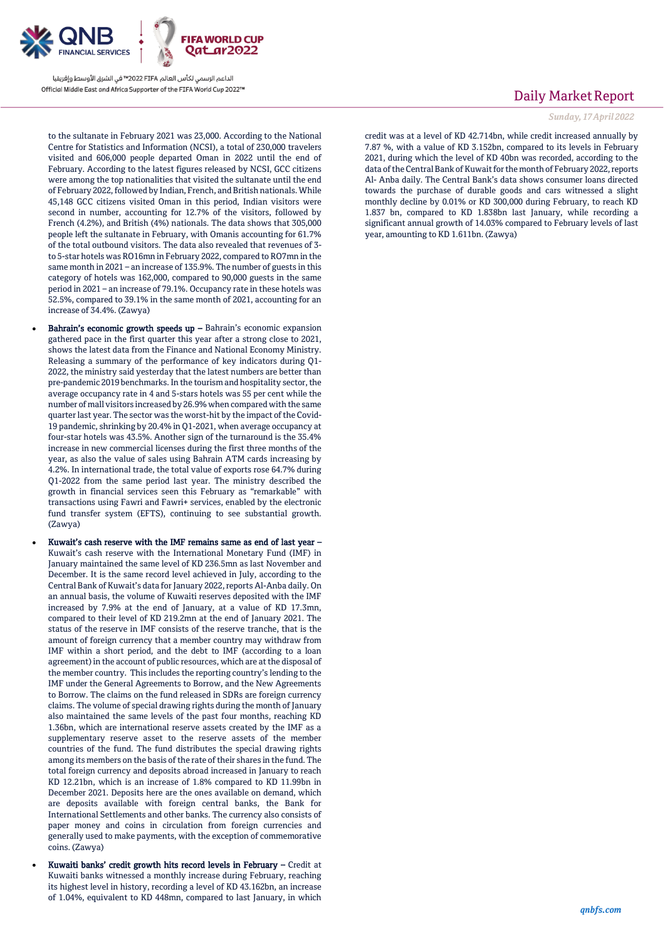

to the sultanate in February 2021 was 23,000. According to the National Centre for Statistics and Information (NCSI), a total of 230,000 travelers visited and 606,000 people departed Oman in 2022 until the end of February. According to the latest figures released by NCSI, GCC citizens were among the top nationalities that visited the sultanate until the end of February 2022, followed by Indian, French, and British nationals. While 45,148 GCC citizens visited Oman in this period, Indian visitors were second in number, accounting for 12.7% of the visitors, followed by French (4.2%), and British (4%) nationals. The data shows that 305,000 people left the sultanate in February, with Omanis accounting for 61.7% of the total outbound visitors. The data also revealed that revenues of 3 to 5-star hotels was RO16mn in February 2022, compared to RO7mn in the same month in 2021 – an increase of 135.9%. The number of guests in this category of hotels was 162,000, compared to 90,000 guests in the same period in 2021 – an increase of 79.1%. Occupancy rate in these hotels was 52.5%, compared to 39.1% in the same month of 2021, accounting for an increase of 34.4%. (Zawya)

- Bahrain's economic growth speeds  $up$  Bahrain's economic expansion gathered pace in the first quarter this year after a strong close to 2021, shows the latest data from the Finance and National Economy Ministry. Releasing a summary of the performance of key indicators during Q1- 2022, the ministry said yesterday that the latest numbers are better than pre-pandemic 2019 benchmarks. In the tourism and hospitality sector, the average occupancy rate in 4 and 5-stars hotels was 55 per cent while the number of mall visitors increased by 26.9% when compared with the same quarter last year. The sector was the worst-hit by the impact of the Covid-19 pandemic, shrinking by 20.4% in Q1-2021, when average occupancy at four-star hotels was 43.5%. Another sign of the turnaround is the 35.4% increase in new commercial licenses during the first three months of the year, as also the value of sales using Bahrain ATM cards increasing by 4.2%. In international trade, the total value of exports rose 64.7% during Q1-2022 from the same period last year. The ministry described the growth in financial services seen this February as "remarkable" with transactions using Fawri and Fawri+ services, enabled by the electronic fund transfer system (EFTS), continuing to see substantial growth.  $(Za$ wya)
- Kuwait's cash reserve with the IMF remains same as end of last year Kuwait's cash reserve with the International Monetary Fund (IMF) in January maintained the same level of KD 236.5mn as last November and December. It is the same record level achieved in July, according to the Central Bank of Kuwait's data for January 2022, reports Al-Anba daily. On an annual basis, the volume of Kuwaiti reserves deposited with the IMF increased by 7.9% at the end of January, at a value of KD 17.3mn, compared to their level of KD 219.2mn at the end of January 2021. The status of the reserve in IMF consists of the reserve tranche, that is the amount of foreign currency that a member country may withdraw from IMF within a short period, and the debt to IMF (according to a loan agreement) in the account of public resources, which are at the disposal of the member country. This includes the reporting country's lending to the IMF under the General Agreements to Borrow, and the New Agreements to Borrow. The claims on the fund released in SDRs are foreign currency claims. The volume of special drawing rights during the month of January also maintained the same levels of the past four months, reaching KD 1.36bn, which are international reserve assets created by the IMF as a supplementary reserve asset to the reserve assets of the member countries of the fund. The fund distributes the special drawing rights among its members on the basis of the rate of their shares in the fund. The total foreign currency and deposits abroad increased in January to reach KD 12.21bn, which is an increase of 1.8% compared to KD 11.99bn in December 2021. Deposits here are the ones available on demand, which are deposits available with foreign central banks, the Bank for International Settlements and other banks. The currency also consists of paper money and coins in circulation from foreign currencies and generally used to make payments, with the exception of commemorative coins. (Zawya)
	- Kuwaiti banks' credit growth hits record levels in February Credit at Kuwaiti banks witnessed a monthly increase during February, reaching its highest level in history, recording a level of KD 43.162bn, an increase of 1.04%, equivalent to KD 448mn, compared to last January, in which

# Daily Market Report

#### *Sunday, 17April 2022*

credit was at a level of KD 42.714bn, while credit increased annually by 7.87 %, with a value of KD 3.152bn, compared to its levels in February 2021, during which the level of KD 40bn was recorded, according to the data of the Central Bank of Kuwait for the month of February 2022, reports Al- Anba daily. The Central Bank's data shows consumer loans directed towards the purchase of durable goods and cars witnessed a slight monthly decline by 0.01% or KD 300,000 during February, to reach KD 1.837 bn, compared to KD 1.838bn last January, while recording a significant annual growth of 14.03% compared to February levels of last year, amounting to KD 1.611bn. (Zawya)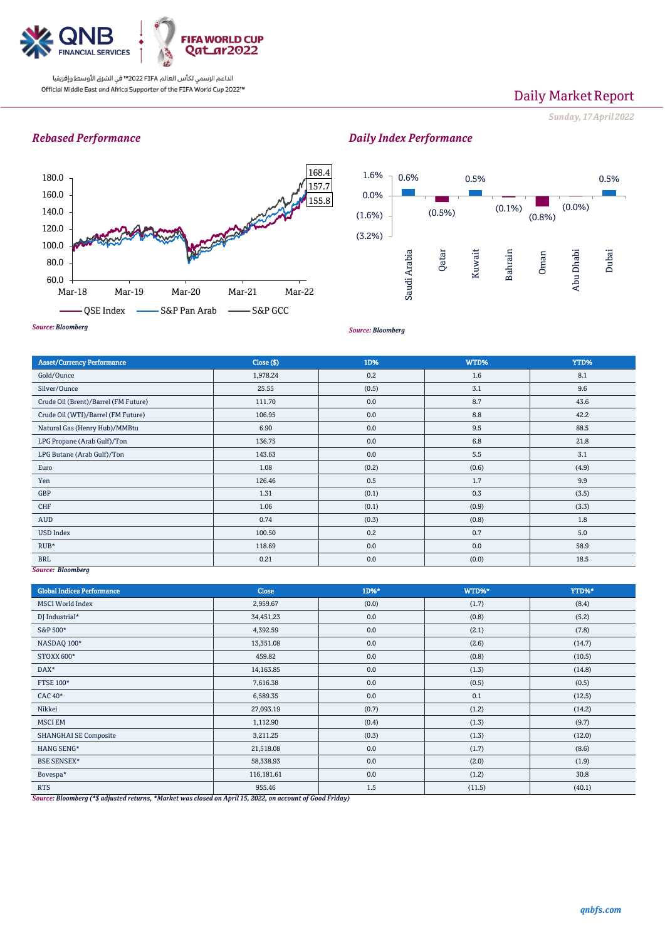

# Daily Market Report

*Sunday, 17April 2022*

## *Rebased Performance*





*Source: Bloomberg*

*Daily Index Performance*

#### *Source: Bloomberg*

| <b>Asset/Currency Performance</b>    | Close (\$) | 1D%   | WTD%  | YTD%  |
|--------------------------------------|------------|-------|-------|-------|
| Gold/Ounce                           | 1,978.24   | 0.2   | 1.6   | 8.1   |
| Silver/Ounce                         | 25.55      | (0.5) | 3.1   | 9.6   |
| Crude Oil (Brent)/Barrel (FM Future) | 111.70     | 0.0   | 8.7   | 43.6  |
| Crude Oil (WTI)/Barrel (FM Future)   | 106.95     | 0.0   | 8.8   | 42.2  |
| Natural Gas (Henry Hub)/MMBtu        | 6.90       | 0.0   | 9.5   | 88.5  |
| LPG Propane (Arab Gulf)/Ton          | 136.75     | 0.0   | 6.8   | 21.8  |
| LPG Butane (Arab Gulf)/Ton           | 143.63     | 0.0   | 5.5   | 3.1   |
| Euro                                 | 1.08       | (0.2) | (0.6) | (4.9) |
| Yen                                  | 126.46     | 0.5   | 1.7   | 9.9   |
| <b>GBP</b>                           | 1.31       | (0.1) | 0.3   | (3.5) |
| <b>CHF</b>                           | 1.06       | (0.1) | (0.9) | (3.3) |
| AUD                                  | 0.74       | (0.3) | (0.8) | 1.8   |
| <b>USD Index</b>                     | 100.50     | 0.2   | 0.7   | 5.0   |
| $RUB*$                               | 118.69     | 0.0   | 0.0   | 58.9  |
| <b>BRL</b>                           | 0.21       | 0.0   | (0.0) | 18.5  |

### *Source: Bloomberg*

| <b>Global Indices Performance</b> | <b>Close</b> | 1D%*  | WTD%*  | YTD%*  |
|-----------------------------------|--------------|-------|--------|--------|
| <b>MSCI World Index</b>           | 2,959.67     | (0.0) | (1.7)  | (8.4)  |
| DJ Industrial*                    | 34,451.23    | 0.0   | (0.8)  | (5.2)  |
| S&P 500*                          | 4,392.59     | 0.0   | (2.1)  | (7.8)  |
| NASDAQ 100*                       | 13,351.08    | 0.0   | (2.6)  | (14.7) |
| <b>STOXX 600*</b>                 | 459.82       | 0.0   | (0.8)  | (10.5) |
| DAX*                              | 14,163.85    | 0.0   | (1.3)  | (14.8) |
| <b>FTSE 100*</b>                  | 7,616.38     | 0.0   | (0.5)  | (0.5)  |
| <b>CAC 40*</b>                    | 6,589.35     | 0.0   | 0.1    | (12.5) |
| Nikkei                            | 27,093.19    | (0.7) | (1.2)  | (14.2) |
| <b>MSCI EM</b>                    | 1,112.90     | (0.4) | (1.3)  | (9.7)  |
| <b>SHANGHAI SE Composite</b>      | 3,211.25     | (0.3) | (1.3)  | (12.0) |
| HANG SENG*                        | 21,518.08    | 0.0   | (1.7)  | (8.6)  |
| <b>BSE SENSEX*</b>                | 58,338.93    | 0.0   | (2.0)  | (1.9)  |
| Bovespa*                          | 116,181.61   | 0.0   | (1.2)  | 30.8   |
| <b>RTS</b>                        | 955.46       | 1.5   | (11.5) | (40.1) |

*Source: Bloomberg (\*\$ adjusted returns, \*Market was closed on April 15, 2022, on account of Good Friday)*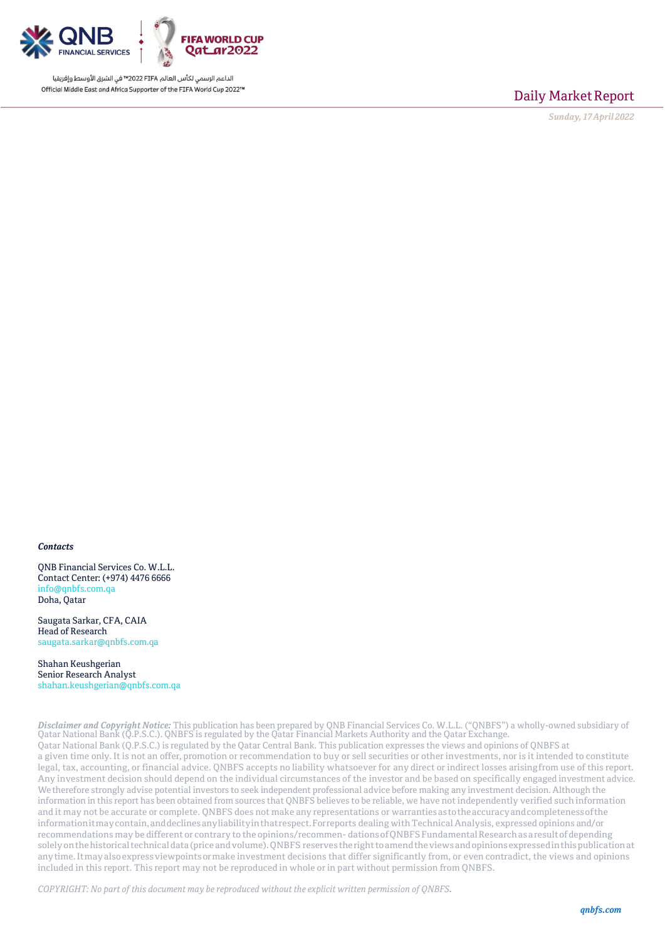

Daily Market Report

*Sunday, 17April 2022*

### *Contacts*

QNB Financial Services Co. W.L.L. Contact Center: (+974) 4476 6666 [info@qnbfs.com.qa](mailto:info@qnbfs.com.qa) Doha, Qatar

Saugata Sarkar, CFA, CAIA Head of Research [saugata.sarkar@qnbfs.com.qa](mailto:saugata.sarkar@qnbfs.com.qa)

Shahan Keushgerian Senior Research Analyst [shahan.keushgerian@qnbfs.com.qa](mailto:shahan.keushgerian@qnbfs.com.qa)

*Disclaimer and Copyright Notice:* This publication has been prepared by QNB Financial Services Co. W.L.L. ("QNBFS") a wholly-owned subsidiary of Qatar National Bank (Q.P.S.C.). QNBFS is regulated by the Qatar Financial Markets Authority and the Qatar Exchange. Qatar National Bank (Q.P.S.C.) is regulated by the Qatar Central Bank. This publication expresses the views and opinions of QNBFS at a given time only. It is not an offer, promotion or recommendation to buy or sell securities or other investments, nor is it intended to constitute legal, tax, accounting, or financial advice. QNBFS accepts no liability whatsoever for any direct or indirect losses arisingfrom use of this report. Any investment decision should depend on the individual circumstances of the investor and be based on specifically engaged investment advice. We therefore strongly advise potential investors to seek independent professional advice before making any investment decision. Although the information in this report has been obtained from sources that QNBFS believes to be reliable, we have notindependently verified such information and it may not be accurate or complete. QNBFS does not make any representations or warrantiesastotheaccuracyandcompletenessofthe informationitmay contain, and declines any liability in that respect. For reports dealing with Technical Analysis, expressed opinions and/or recommendations may be different or contrary to the opinions/recommen-dations of QNBFS Fundamental Research as aresult of depending solelyonthehistoricaltechnicaldata(priceandvolume).QNBFS reserves therighttoamendtheviewsandopinionsexpressedinthispublicationat anytime.Itmayalsoexpressviewpointsormake investment decisions that differ significantly from, or even contradict, the views and opinions included in this report. This report may not be reproduced in whole or in part without permission from QNBFS.

*COPYRIGHT: No part of this document may be reproduced without the explicit written permission of QNBFS.*